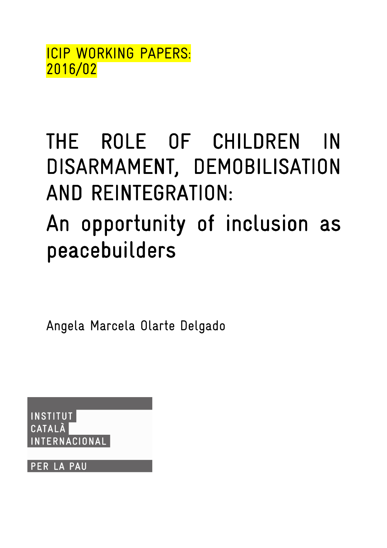# THE ROLE OF CHILDREN IN DISARMAMENT, DEMOBILISATION AND REINTEGRATION:

# An opportunity of inclusion as peacebuilders

Angela Marcela Olarte Delgado

INSTITUT CATALÀ ERNACIONAL

PER LA PAU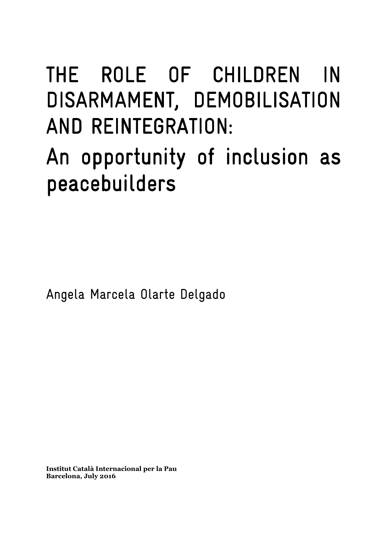# THE ROLE OF CHILDREN IN DISARMAMENT, DEMOBILISATION AND REINTEGRATION:

# An opportunity of inclusion as peacebuilders peacebuilders

Angela Marcela Olarte Delgado

**Institut Català Internacional per la Pau Barcelona, July 2016**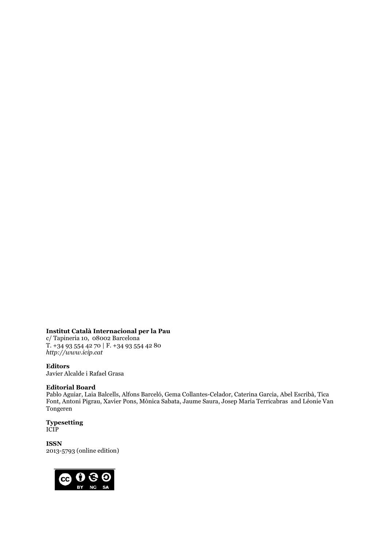#### **Institut Català Internacional per la Pau**

c/ Tapineria 10, 08002 Barcelona T. +34 93 554 42 70 | F. +34 93 554 42 80 *http://www.icip.cat*

**Editors**  Javier Alcalde i Rafael Grasa

#### **Editorial Board**

Pablo Aguiar, Laia Balcells, Alfons Barceló, Gema Collantes-Celador, Caterina Garcia, Abel Escribà, Tica Font, Antoni Pigrau, Xavier Pons, Mònica Sabata, Jaume Saura, Josep Maria Terricabras and Léonie Van Tongeren

**Typesetting**  ICIP

**ISSN**  2013-5793 (online edition)

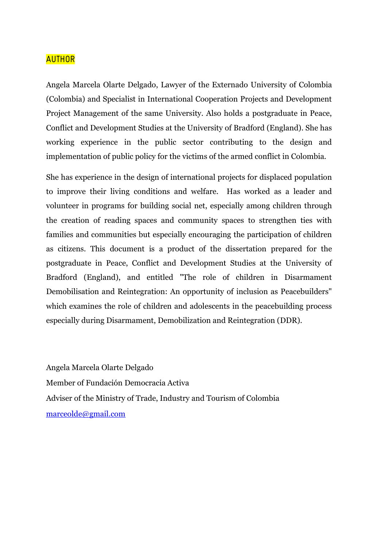#### AUTHOR

Angela Marcela Olarte Delgado, Lawyer of the Externado University of Colombia (Colombia) and Specialist in International Cooperation Projects and Development Project Management of the same University. Also holds a postgraduate in Peace, Conflict and Development Studies at the University of Bradford (England). She has working experience in the public sector contributing to the design and implementation of public policy for the victims of the armed conflict in Colombia.

She has experience in the design of international projects for displaced population to improve their living conditions and welfare. Has worked as a leader and volunteer in programs for building social net, especially among children through the creation of reading spaces and community spaces to strengthen ties with families and communities but especially encouraging the participation of children as citizens. This document is a product of the dissertation prepared for the postgraduate in Peace, Conflict and Development Studies at the University of Bradford (England), and entitled "The role of children in Disarmament Demobilisation and Reintegration: An opportunity of inclusion as Peacebuilders" which examines the role of children and adolescents in the peacebuilding process especially during Disarmament, Demobilization and Reintegration (DDR).

Angela Marcela Olarte Delgado Member of Fundación Democracia Activa Adviser of the Ministry of Trade, Industry and Tourism of Colombia marceolde@gmail.com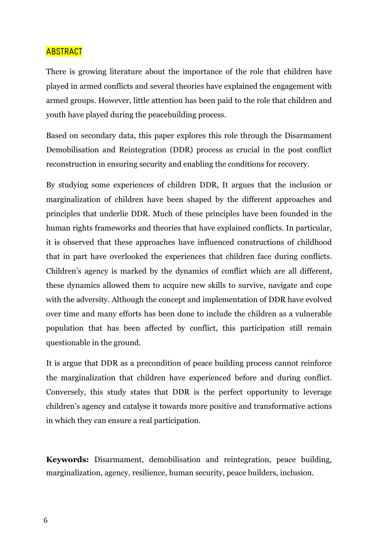#### **ABSTRACT**

There is growing literature about the importance of the role that children have played in armed conflicts and several theories have explained the engagement with armed groups. However, little attention has been paid to the role that children and youth have played during the peacebuilding process.

Based on secondary data, this paper explores this role through the Disarmament Demobilisation and Reintegration (DDR) process as crucial in the post conflict reconstruction in ensuring security and enabling the conditions for recovery.

By studying some experiences of children DDR, It argues that the inclusion or marginalization of children have been shaped by the different approaches and principles that underlie DDR. Much of these principles have been founded in the human rights frameworks and theories that have explained conflicts. In particular, it is observed that these approaches have influenced constructions of childhood that in part have overlooked the experiences that children face during conflicts. Children's agency is marked by the dynamics of conflict which are all different, these dynamics allowed them to acquire new skills to survive, navigate and cope with the adversity. Although the concept and implementation of DDR have evolved over time and many efforts has been done to include the children as a vulnerable population that has been affected by conflict, this participation still remain questionable in the ground.

It is argue that DDR as a precondition of peace building process cannot reinforce the marginalization that children have experienced before and during conflict. Conversely, this study states that DDR is the perfect opportunity to leverage children's agency and catalyse it towards more positive and transformative actions in which they can ensure a real participation.

**Keywords:** Disarmament, demobilisation and reintegration, peace building, marginalization, agency, resilience, human security, peace builders, inclusion.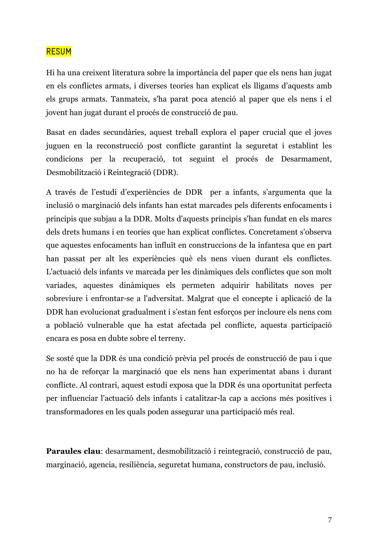#### RESUM

Hi ha una creixent literatura sobre la importància del paper que els nens han jugat en els conflictes armats, i diverses teories han explicat els lligams d'aquests amb els grups armats. Tanmateix, s'ha parat poca atenció al paper que els nens i el jovent han jugat durant el procés de construcció de pau.

Basat en dades secundàries, aquest treball explora el paper crucial que el joves juguen en la reconstrucció post conflicte garantint la seguretat i establint les condicions per la recuperació, tot seguint el procés de Desarmament, Desmobilització i Reintegració (DDR).

A través de l'estudi d'experiències de DDR per a infants, s'argumenta que la inclusió o marginació dels infants han estat marcades pels diferents enfocaments i principis que subjau a la DDR. Molts d'aquests principis s'han fundat en els marcs dels drets humans i en teories que han explicat conflictes. Concretament s'observa que aquestes enfocaments han influït en construccions de la infantesa que en part han passat per alt les experiències què els nens viuen durant els conflictes. L'actuació dels infants ve marcada per les dinàmiques dels conflictes que son molt variades, aquestes dinàmiques els permeten adquirir habilitats noves per sobreviure i enfrontar-se a l'adversitat. Malgrat que el concepte i aplicació de la DDR han evolucionat gradualment i s'estan fent esforços per incloure els nens com a població vulnerable que ha estat afectada pel conflicte, aquesta participació encara es posa en dubte sobre el terreny.

Se sosté que la DDR és una condició prèvia pel procés de construcció de pau i que no ha de reforçar la marginació que els nens han experimentat abans i durant conflicte. Al contrari, aquest estudi exposa que la DDR és una oportunitat perfecta per influenciar l'actuació dels infants i catalitzar-la cap a accions més positives i transformadores en les quals poden assegurar una participació més real.

**Paraules clau**: desarmament, desmobilització i reintegració, construcció de pau, marginació, agencia, resiliència, seguretat humana, constructors de pau, inclusió.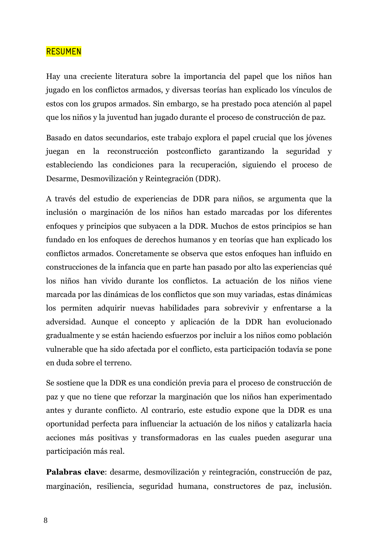#### RESUMEN

Hay una creciente literatura sobre la importancia del papel que los niños han jugado en los conflictos armados, y diversas teorías han explicado los vínculos de estos con los grupos armados. Sin embargo, se ha prestado poca atención al papel que los niños y la juventud han jugado durante el proceso de construcción de paz.

Basado en datos secundarios, este trabajo explora el papel crucial que los jóvenes juegan en la reconstrucción postconflicto garantizando la seguridad y estableciendo las condiciones para la recuperación, siguiendo el proceso de Desarme, Desmovilización y Reintegración (DDR).

A través del estudio de experiencias de DDR para niños, se argumenta que la inclusión o marginación de los niños han estado marcadas por los diferentes enfoques y principios que subyacen a la DDR. Muchos de estos principios se han fundado en los enfoques de derechos humanos y en teorías que han explicado los conflictos armados. Concretamente se observa que estos enfoques han influido en construcciones de la infancia que en parte han pasado por alto las experiencias qué los niños han vivido durante los conflictos. La actuación de los niños viene marcada por las dinámicas de los conflictos que son muy variadas, estas dinámicas los permiten adquirir nuevas habilidades para sobrevivir y enfrentarse a la adversidad. Aunque el concepto y aplicación de la DDR han evolucionado gradualmente y se están haciendo esfuerzos por incluir a los niños como población vulnerable que ha sido afectada por el conflicto, esta participación todavía se pone en duda sobre el terreno.

Se sostiene que la DDR es una condición previa para el proceso de construcción de paz y que no tiene que reforzar la marginación que los niños han experimentado antes y durante conflicto. Al contrario, este estudio expone que la DDR es una oportunidad perfecta para influenciar la actuación de los niños y catalizarla hacia acciones más positivas y transformadoras en las cuales pueden asegurar una participación más real.

**Palabras clave**: desarme, desmovilización y reintegración, construcción de paz, marginación, resiliencia, seguridad humana, constructores de paz, inclusión.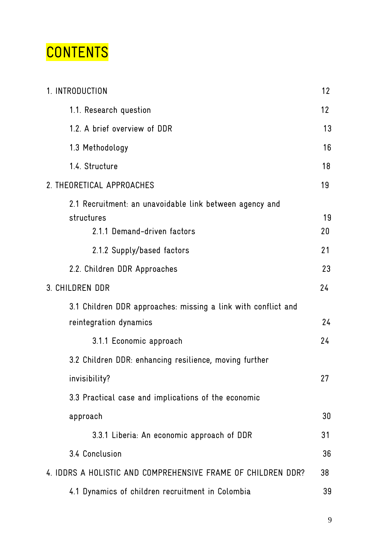# **CONTENTS**

| 12<br>1. INTRODUCTION                                                 |    |  |  |
|-----------------------------------------------------------------------|----|--|--|
| 1.1. Research question                                                | 12 |  |  |
| 1.2. A brief overview of DDR                                          | 13 |  |  |
| 1.3 Methodology                                                       | 16 |  |  |
| 1.4. Structure                                                        | 18 |  |  |
| 2. THEORETICAL APPROACHES                                             |    |  |  |
| 2.1 Recruitment: an unavoidable link between agency and<br>structures | 19 |  |  |
| 2.1.1 Demand-driven factors                                           | 20 |  |  |
| 2.1.2 Supply/based factors                                            | 21 |  |  |
| 2.2. Children DDR Approaches                                          | 23 |  |  |
| 3. CHILDREN DDR                                                       | 24 |  |  |
| 3.1 Children DDR approaches: missing a link with conflict and         |    |  |  |
| reintegration dynamics                                                | 24 |  |  |
| 3.1.1 Economic approach                                               | 24 |  |  |
| 3.2 Children DDR: enhancing resilience, moving further                |    |  |  |
| invisibility?                                                         | 27 |  |  |
| 3.3 Practical case and implications of the economic                   |    |  |  |
| approach                                                              | 30 |  |  |
| 3.3.1 Liberia: An economic approach of DDR                            | 31 |  |  |
| 3.4 Conclusion                                                        | 36 |  |  |
| 4. IDDRS A HOLISTIC AND COMPREHENSIVE FRAME OF CHILDREN DDR?          | 38 |  |  |
| 4.1 Dynamics of children recruitment in Colombia                      | 39 |  |  |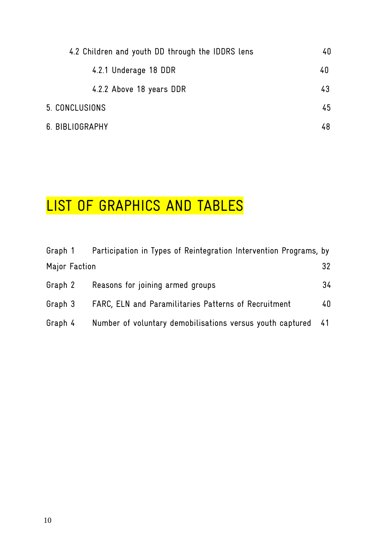| 4.2 Children and youth DD through the IDDRS lens |                          |    |
|--------------------------------------------------|--------------------------|----|
|                                                  | 4.2.1 Underage 18 DDR    | 40 |
|                                                  | 4.2.2 Above 18 years DDR | 43 |
|                                                  | 5. CONCLUSIONS           | 45 |
|                                                  | 6. BIBLIOGRAPHY          | 48 |

## LIST OF GRAPHICS AND TABLES

| Graph 1       | Participation in Types of Reintegration Intervention Programs, by |    |
|---------------|-------------------------------------------------------------------|----|
| Major Faction |                                                                   | 32 |
| Graph 2       | Reasons for joining armed groups                                  | 34 |
| Graph 3       | FARC, ELN and Paramilitaries Patterns of Recruitment              | 40 |
| Graph 4       | Number of voluntary demobilisations versus youth captured         | 41 |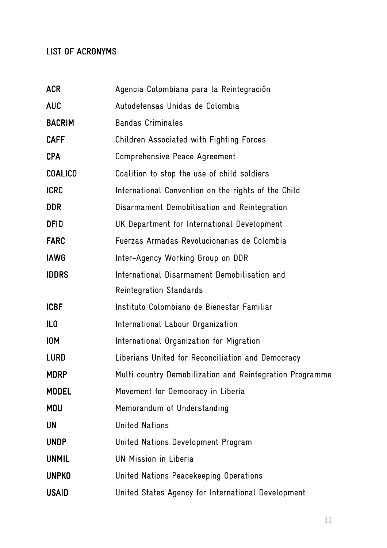### LIST OF ACRONYMS

| <b>ACR</b>      | Agencia Colombiana para la Reintegración                 |  |
|-----------------|----------------------------------------------------------|--|
| <b>AUC</b>      | Autodefensas Unidas de Colombia                          |  |
| <b>BACRIM</b>   | <b>Bandas Criminales</b>                                 |  |
| <b>CAFF</b>     | Children Associated with Fighting Forces                 |  |
| <b>CPA</b>      | Comprehensive Peace Agreement                            |  |
| <b>COALICO</b>  | Coalition to stop the use of child soldiers              |  |
| <b>ICRC</b>     | International Convention on the rights of the Child      |  |
| <b>DDR</b>      | Disarmament Demobilisation and Reintegration             |  |
| <b>DFID</b>     | UK Department for International Development              |  |
| <b>FARC</b>     | Fuerzas Armadas Revolucionarias de Colombia              |  |
| <b>IAWG</b>     | Inter-Agency Working Group on DDR                        |  |
| <b>IDDRS</b>    | International Disarmament Demobilisation and             |  |
|                 | <b>Reintegration Standards</b>                           |  |
| <b>ICBF</b>     | Instituto Colombiano de Bienestar Familiar               |  |
| IL <sub>0</sub> | International Labour Organization                        |  |
| <b>IOM</b>      | International Organization for Migration                 |  |
| <b>LURD</b>     | Liberians United for Reconciliation and Democracy        |  |
| <b>MDRP</b>     | Multi country Demobilization and Reintegration Programme |  |
| <b>MODEL</b>    | Movement for Democracy in Liberia                        |  |
| <b>MOU</b>      | Memorandum of Understanding                              |  |
| <b>UN</b>       | <b>United Nations</b>                                    |  |
| <b>UNDP</b>     | United Nations Development Program                       |  |
| <b>UNMIL</b>    | <b>UN Mission in Liberia</b>                             |  |
| <b>UNPKO</b>    | United Nations Peacekeeping Operations                   |  |
| <b>USAID</b>    | United States Agency for International Development       |  |
|                 |                                                          |  |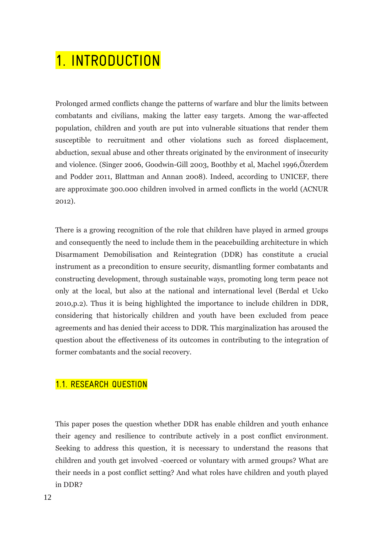## 1. INTRODUCTION

Prolonged armed conflicts change the patterns of warfare and blur the limits between combatants and civilians, making the latter easy targets. Among the war-affected population, children and youth are put into vulnerable situations that render them susceptible to recruitment and other violations such as forced displacement, abduction, sexual abuse and other threats originated by the environment of insecurity and violence. (Singer 2006, Goodwin-Gill 2003, Boothby et al, Machel 1996,Özerdem and Podder 2011, Blattman and Annan 2008). Indeed, according to UNICEF, there are approximate 300.000 children involved in armed conflicts in the world (ACNUR 2012).

There is a growing recognition of the role that children have played in armed groups and consequently the need to include them in the peacebuilding architecture in which Disarmament Demobilisation and Reintegration (DDR) has constitute a crucial instrument as a precondition to ensure security, dismantling former combatants and constructing development, through sustainable ways, promoting long term peace not only at the local, but also at the national and international level (Berdal et Ucko 2010,p.2). Thus it is being highlighted the importance to include children in DDR, considering that historically children and youth have been excluded from peace agreements and has denied their access to DDR. This marginalization has aroused the question about the effectiveness of its outcomes in contributing to the integration of former combatants and the social recovery.

### 1.1. RESEARCH QUESTION

This paper poses the question whether DDR has enable children and youth enhance their agency and resilience to contribute actively in a post conflict environment. Seeking to address this question, it is necessary to understand the reasons that children and youth get involved -coerced or voluntary with armed groups? What are their needs in a post conflict setting? And what roles have children and youth played in DDR?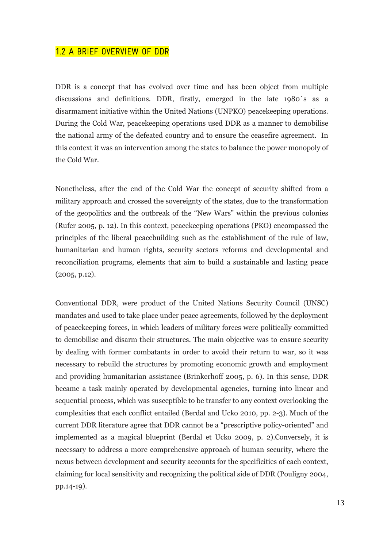#### 1.2 A BRIEF OVERVIEW OF DDR

DDR is a concept that has evolved over time and has been object from multiple discussions and definitions. DDR, firstly, emerged in the late 1980´s as a disarmament initiative within the United Nations (UNPKO) peacekeeping operations. During the Cold War, peacekeeping operations used DDR as a manner to demobilise the national army of the defeated country and to ensure the ceasefire agreement. In this context it was an intervention among the states to balance the power monopoly of the Cold War.

Nonetheless, after the end of the Cold War the concept of security shifted from a military approach and crossed the sovereignty of the states, due to the transformation of the geopolitics and the outbreak of the "New Wars" within the previous colonies (Rufer 2005, p. 12). In this context, peacekeeping operations (PKO) encompassed the principles of the liberal peacebuilding such as the establishment of the rule of law, humanitarian and human rights, security sectors reforms and developmental and reconciliation programs, elements that aim to build a sustainable and lasting peace (2005, p.12).

Conventional DDR, were product of the United Nations Security Council (UNSC) mandates and used to take place under peace agreements, followed by the deployment of peacekeeping forces, in which leaders of military forces were politically committed to demobilise and disarm their structures. The main objective was to ensure security by dealing with former combatants in order to avoid their return to war, so it was necessary to rebuild the structures by promoting economic growth and employment and providing humanitarian assistance (Brinkerhoff 2005, p. 6). In this sense, DDR became a task mainly operated by developmental agencies, turning into linear and sequential process, which was susceptible to be transfer to any context overlooking the complexities that each conflict entailed (Berdal and Ucko 2010, pp. 2-3). Much of the current DDR literature agree that DDR cannot be a "prescriptive policy-oriented" and implemented as a magical blueprint (Berdal et Ucko 2009, p. 2).Conversely, it is necessary to address a more comprehensive approach of human security, where the nexus between development and security accounts for the specificities of each context, claiming for local sensitivity and recognizing the political side of DDR (Pouligny 2004, pp.14-19).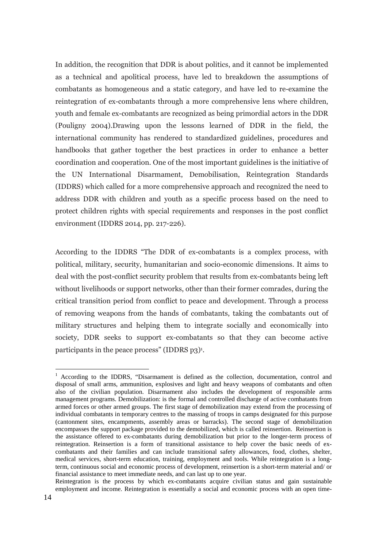In addition, the recognition that DDR is about politics, and it cannot be implemented as a technical and apolitical process, have led to breakdown the assumptions of combatants as homogeneous and a static category, and have led to re-examine the reintegration of ex-combatants through a more comprehensive lens where children, youth and female ex-combatants are recognized as being primordial actors in the DDR (Pouligny 2004).Drawing upon the lessons learned of DDR in the field, the international community has rendered to standardized guidelines, procedures and handbooks that gather together the best practices in order to enhance a better coordination and cooperation. One of the most important guidelines is the initiative of the UN International Disarmament, Demobilisation, Reintegration Standards (IDDRS) which called for a more comprehensive approach and recognized the need to address DDR with children and youth as a specific process based on the need to protect children rights with special requirements and responses in the post conflict environment (IDDRS 2014, pp. 217-226).

According to the IDDRS "The DDR of ex-combatants is a complex process, with political, military, security, humanitarian and socio-economic dimensions. It aims to deal with the post-conflict security problem that results from ex-combatants being left without livelihoods or support networks, other than their former comrades, during the critical transition period from conflict to peace and development. Through a process of removing weapons from the hands of combatants, taking the combatants out of military structures and helping them to integrate socially and economically into society, DDR seeks to support ex-combatants so that they can become active participants in the peace process" (IDDRS p3)<sup>1</sup>.

<sup>&</sup>lt;sup>1</sup> According to the IDDRS, "Disarmament is defined as the collection, documentation, control and disposal of small arms, ammunition, explosives and light and heavy weapons of combatants and often also of the civilian population. Disarmament also includes the development of responsible arms management programs. Demobilization: is the formal and controlled discharge of active combatants from armed forces or other armed groups. The first stage of demobilization may extend from the processing of individual combatants in temporary centres to the massing of troops in camps designated for this purpose (cantonment sites, encampments, assembly areas or barracks). The second stage of demobilization encompasses the support package provided to the demobilized, which is called reinsertion. Reinsertion is the assistance offered to ex-combatants during demobilization but prior to the longer-term process of reintegration. Reinsertion is a form of transitional assistance to help cover the basic needs of excombatants and their families and can include transitional safety allowances, food, clothes, shelter, medical services, short-term education, training, employment and tools. While reintegration is a longterm, continuous social and economic process of development, reinsertion is a short-term material and/ or financial assistance to meet immediate needs, and can last up to one year.

Reintegration is the process by which ex-combatants acquire civilian status and gain sustainable employment and income. Reintegration is essentially a social and economic process with an open time-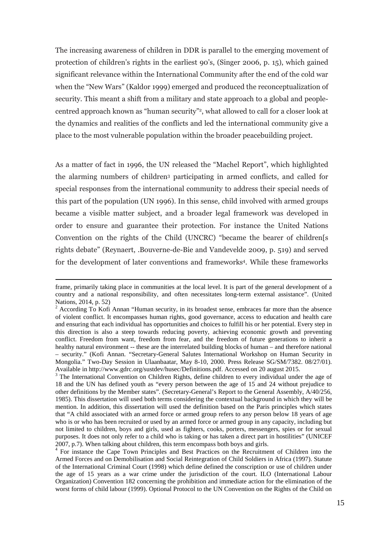The increasing awareness of children in DDR is parallel to the emerging movement of protection of children's rights in the earliest 90's, (Singer 2006, p. 15), which gained significant relevance within the International Community after the end of the cold war when the "New Wars" (Kaldor 1999) emerged and produced the reconceptualization of security. This meant a shift from a military and state approach to a global and peoplecentred approach known as "human security"<sup>2</sup> , what allowed to call for a closer look at the dynamics and realities of the conflicts and led the international community give a place to the most vulnerable population within the broader peacebuilding project.

As a matter of fact in 1996, the UN released the "Machel Report", which highlighted the alarming numbers of children<sup>3</sup> participating in armed conflicts, and called for special responses from the international community to address their special needs of this part of the population (UN 1996). In this sense, child involved with armed groups became a visible matter subject, and a broader legal framework was developed in order to ensure and guarantee their protection. For instance the United Nations Convention on the rights of the Child (UNCRC) "became the bearer of children[s rights debate" (Reynaert, .Bouverne-de-Bie and Vandevelde 2009, p. 519) and served for the development of later conventions and frameworks<sup>4</sup>. While these frameworks

-

frame, primarily taking place in communities at the local level. It is part of the general development of a country and a national responsibility, and often necessitates long-term external assistance". (United Nations, 2014, p. 52)

 $2$  According To Kofi Annan "Human security, in its broadest sense, embraces far more than the absence of violent conflict. It encompasses human rights, good governance, access to education and health care and ensuring that each individual has opportunities and choices to fulfill his or her potential. Every step in this direction is also a steep towards reducing poverty, achieving economic growth and preventing conflict. Freedom from want, freedom from fear, and the freedom of future generations to inherit a healthy natural environment -- these are the interrelated building blocks of human – and therefore national – security." (Kofi Annan. "Secretary-General Salutes International Workshop on Human Security in Mongolia." Two-Day Session in Ulaanbaatar, May 8-10, 2000. Press Release SG/SM/7382. 08/27/01). Available in http://www.gdrc.org/sustdev/husec/Definitions.pdf. Accessed on 20 august 2015.<br><sup>3</sup> The International Convention on Children Rights, define children to every individual under the age of

<sup>18</sup> and the UN has defined youth as "every person between the age of 15 and 24 without prejudice to other definitions by the Member states". (Secretary-General's Report to the General Assembly, A/40/256, 1985). This dissertation will used both terms considering the contextual background in which they will be mention. In addition, this dissertation will used the definition based on the Paris principles which states that "A child associated with an armed force or armed group refers to any person below 18 years of age who is or who has been recruited or used by an armed force or armed group in any capacity, including but not limited to children, boys and girls, used as fighters, cooks, porters, messengers, spies or for sexual purposes. It does not only refer to a child who is taking or has taken a direct part in hostilities" (UNICEF 2007, p.7). When talking about children, this term encompass both boys and girls.

<sup>&</sup>lt;sup>4</sup> For instance the Cape Town Principles and Best Practices on the Recruitment of Children into the Armed Forces and on Demobilisation and Social Reintegration of Child Soldiers in Africa (1997). Statute of the International Criminal Court (1998) which define defined the conscription or use of children under the age of 15 years as a war crime under the jurisdiction of the court. ILO (International Labour Organization) Convention 182 concerning the prohibition and immediate action for the elimination of the worst forms of child labour (1999). Optional Protocol to the UN Convention on the Rights of the Child on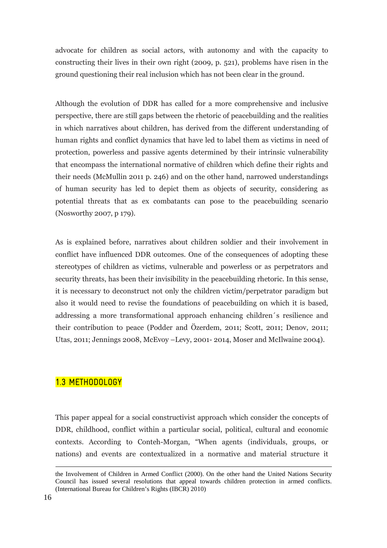advocate for children as social actors, with autonomy and with the capacity to constructing their lives in their own right (2009, p. 521), problems have risen in the ground questioning their real inclusion which has not been clear in the ground.

Although the evolution of DDR has called for a more comprehensive and inclusive perspective, there are still gaps between the rhetoric of peacebuilding and the realities in which narratives about children, has derived from the different understanding of human rights and conflict dynamics that have led to label them as victims in need of protection, powerless and passive agents determined by their intrinsic vulnerability that encompass the international normative of children which define their rights and their needs (McMullin 2011 p. 246) and on the other hand, narrowed understandings of human security has led to depict them as objects of security, considering as potential threats that as ex combatants can pose to the peacebuilding scenario (Nosworthy 2007, p 179).

As is explained before, narratives about children soldier and their involvement in conflict have influenced DDR outcomes. One of the consequences of adopting these stereotypes of children as victims, vulnerable and powerless or as perpetrators and security threats, has been their invisibility in the peacebuilding rhetoric. In this sense, it is necessary to deconstruct not only the children victim/perpetrator paradigm but also it would need to revise the foundations of peacebuilding on which it is based, addressing a more transformational approach enhancing children´s resilience and their contribution to peace (Podder and Özerdem, 2011; Scott, 2011; Denov, 2011; Utas, 2011; Jennings 2008, McEvoy –Levy, 2001- 2014, Moser and McIlwaine 2004).

#### 1.3 METHODOLOGY

This paper appeal for a social constructivist approach which consider the concepts of DDR, childhood, conflict within a particular social, political, cultural and economic contexts. According to Conteh-Morgan, "When agents (individuals, groups, or nations) and events are contextualized in a normative and material structure it

-

the Involvement of Children in Armed Conflict (2000). On the other hand the United Nations Security Council has issued several resolutions that appeal towards children protection in armed conflicts. (International Bureau for Children's Rights (IBCR) 2010)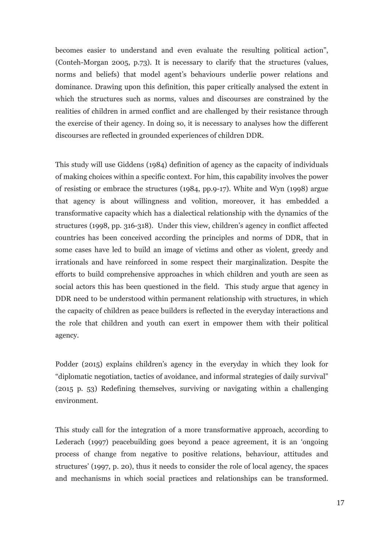becomes easier to understand and even evaluate the resulting political action", (Conteh-Morgan 2005, p.73). It is necessary to clarify that the structures (values, norms and beliefs) that model agent's behaviours underlie power relations and dominance. Drawing upon this definition, this paper critically analysed the extent in which the structures such as norms, values and discourses are constrained by the realities of children in armed conflict and are challenged by their resistance through the exercise of their agency. In doing so, it is necessary to analyses how the different discourses are reflected in grounded experiences of children DDR.

This study will use Giddens (1984) definition of agency as the capacity of individuals of making choices within a specific context. For him, this capability involves the power of resisting or embrace the structures (1984, pp.9-17). White and Wyn (1998) argue that agency is about willingness and volition, moreover, it has embedded a transformative capacity which has a dialectical relationship with the dynamics of the structures (1998, pp. 316-318). Under this view, children's agency in conflict affected countries has been conceived according the principles and norms of DDR, that in some cases have led to build an image of victims and other as violent, greedy and irrationals and have reinforced in some respect their marginalization. Despite the efforts to build comprehensive approaches in which children and youth are seen as social actors this has been questioned in the field. This study argue that agency in DDR need to be understood within permanent relationship with structures, in which the capacity of children as peace builders is reflected in the everyday interactions and the role that children and youth can exert in empower them with their political agency.

Podder (2015) explains children's agency in the everyday in which they look for "diplomatic negotiation, tactics of avoidance, and informal strategies of daily survival" (2015 p. 53) Redefining themselves, surviving or navigating within a challenging environment.

This study call for the integration of a more transformative approach, according to Lederach (1997) peacebuilding goes beyond a peace agreement, it is an 'ongoing process of change from negative to positive relations, behaviour, attitudes and structures' (1997, p. 20), thus it needs to consider the role of local agency, the spaces and mechanisms in which social practices and relationships can be transformed.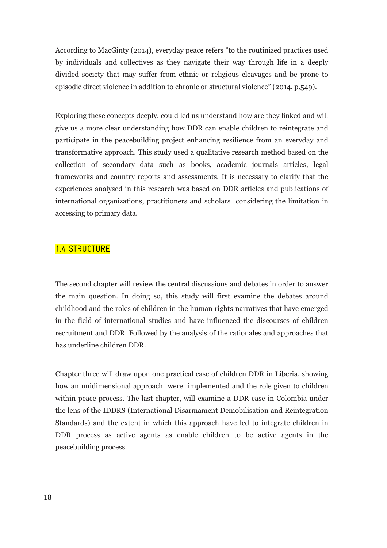According to MacGinty (2014), everyday peace refers "to the routinized practices used by individuals and collectives as they navigate their way through life in a deeply divided society that may suffer from ethnic or religious cleavages and be prone to episodic direct violence in addition to chronic or structural violence" (2014, p.549).

Exploring these concepts deeply, could led us understand how are they linked and will give us a more clear understanding how DDR can enable children to reintegrate and participate in the peacebuilding project enhancing resilience from an everyday and transformative approach. This study used a qualitative research method based on the collection of secondary data such as books, academic journals articles, legal frameworks and country reports and assessments. It is necessary to clarify that the experiences analysed in this research was based on DDR articles and publications of international organizations, practitioners and scholars considering the limitation in accessing to primary data.

#### 1.4 STRUCTURE

The second chapter will review the central discussions and debates in order to answer the main question. In doing so, this study will first examine the debates around childhood and the roles of children in the human rights narratives that have emerged in the field of international studies and have influenced the discourses of children recruitment and DDR. Followed by the analysis of the rationales and approaches that has underline children DDR.

Chapter three will draw upon one practical case of children DDR in Liberia, showing how an unidimensional approach were implemented and the role given to children within peace process. The last chapter, will examine a DDR case in Colombia under the lens of the IDDRS (International Disarmament Demobilisation and Reintegration Standards) and the extent in which this approach have led to integrate children in DDR process as active agents as enable children to be active agents in the peacebuilding process.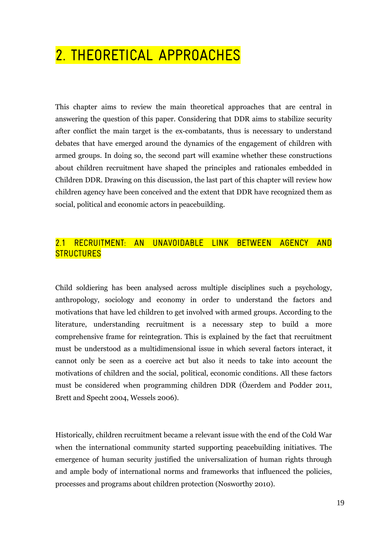### 2. THEORETICAL APPROACHES

This chapter aims to review the main theoretical approaches that are central in answering the question of this paper. Considering that DDR aims to stabilize security after conflict the main target is the ex-combatants, thus is necessary to understand debates that have emerged around the dynamics of the engagement of children with armed groups. In doing so, the second part will examine whether these constructions about children recruitment have shaped the principles and rationales embedded in Children DDR. Drawing on this discussion, the last part of this chapter will review how children agency have been conceived and the extent that DDR have recognized them as social, political and economic actors in peacebuilding.

#### 2.1 RECRUITMENT: AN UNAVOIDABLE LINK BETWEEN AGENCY AND **STRUCTURES**

Child soldiering has been analysed across multiple disciplines such a psychology, anthropology, sociology and economy in order to understand the factors and motivations that have led children to get involved with armed groups. According to the literature, understanding recruitment is a necessary step to build a more comprehensive frame for reintegration. This is explained by the fact that recruitment must be understood as a multidimensional issue in which several factors interact, it cannot only be seen as a coercive act but also it needs to take into account the motivations of children and the social, political, economic conditions. All these factors must be considered when programming children DDR (Özerdem and Podder 2011, Brett and Specht 2004, Wessels 2006).

Historically, children recruitment became a relevant issue with the end of the Cold War when the international community started supporting peacebuilding initiatives. The emergence of human security justified the universalization of human rights through and ample body of international norms and frameworks that influenced the policies, processes and programs about children protection (Nosworthy 2010).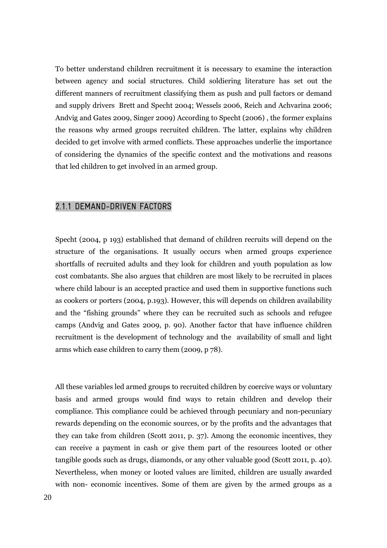To better understand children recruitment it is necessary to examine the interaction between agency and social structures. Child soldiering literature has set out the different manners of recruitment classifying them as push and pull factors or demand and supply drivers Brett and Specht 2004; Wessels 2006, Reich and Achvarina 2006; Andvig and Gates 2009, Singer 2009) According to Specht (2006) , the former explains the reasons why armed groups recruited children. The latter, explains why children decided to get involve with armed conflicts. These approaches underlie the importance of considering the dynamics of the specific context and the motivations and reasons that led children to get involved in an armed group.

#### 2.1.1 DEMAND-DRIVEN FACTORS

Specht (2004, p 193) established that demand of children recruits will depend on the structure of the organisations. It usually occurs when armed groups experience shortfalls of recruited adults and they look for children and youth population as low cost combatants. She also argues that children are most likely to be recruited in places where child labour is an accepted practice and used them in supportive functions such as cookers or porters (2004, p.193). However, this will depends on children availability and the "fishing grounds" where they can be recruited such as schools and refugee camps (Andvig and Gates 2009, p. 90). Another factor that have influence children recruitment is the development of technology and the availability of small and light arms which ease children to carry them (2009, p 78).

All these variables led armed groups to recruited children by coercive ways or voluntary basis and armed groups would find ways to retain children and develop their compliance. This compliance could be achieved through pecuniary and non-pecuniary rewards depending on the economic sources, or by the profits and the advantages that they can take from children (Scott 2011, p. 37). Among the economic incentives, they can receive a payment in cash or give them part of the resources looted or other tangible goods such as drugs, diamonds, or any other valuable good (Scott 2011, p. 40). Nevertheless, when money or looted values are limited, children are usually awarded with non- economic incentives. Some of them are given by the armed groups as a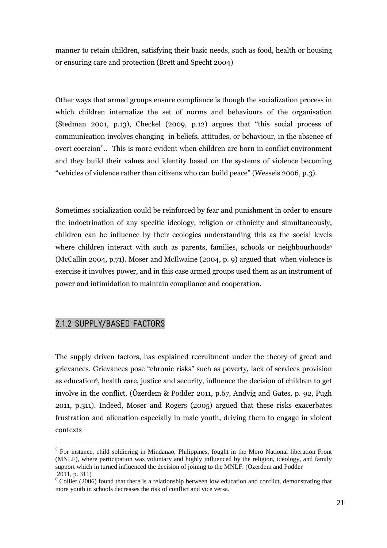manner to retain children, satisfying their basic needs, such as food, health or housing or ensuring care and protection (Brett and Specht 2004)

Other ways that armed groups ensure compliance is though the socialization process in which children internalize the set of norms and behaviours of the organisation (Stedman 2001, p.13), Checkel (2009, p.12) argues that "this social process of communication involves changing in beliefs, attitudes, or behaviour, in the absence of overt coercion".. This is more evident when children are born in conflict environment and they build their values and identity based on the systems of violence becoming "vehicles of violence rather than citizens who can build peace" (Wessels 2006, p.3).

Sometimes socialization could be reinforced by fear and punishment in order to ensure the indoctrination of any specific ideology, religion or ethnicity and simultaneously, children can be influence by their ecologies understanding this as the social levels where children interact with such as parents, families, schools or neighbourhoods<sup>5</sup> (McCallin 2004, p.71). Moser and McIlwaine (2004, p. 9) argued that when violence is exercise it involves power, and in this case armed groups used them as an instrument of power and intimidation to maintain compliance and cooperation.

#### 2.1.2 SUPPLY/BASED FACTORS

 $\overline{a}$ 

The supply driven factors, has explained recruitment under the theory of greed and grievances. Grievances pose "chronic risks" such as poverty, lack of services provision as education<sup>6</sup>, health care, justice and security, influence the decision of children to get involve in the conflict. (Özerdem & Podder 2011, p.67, Andvig and Gates, p. 92, Pugh 2011, p.311). Indeed, Moser and Rogers (2005) argued that these risks exacerbates frustration and alienation especially in male youth, driving them to engage in violent contexts

<sup>&</sup>lt;sup>5</sup> For instance, child soldiering in Mindanao, Philippines, fought in the Moro National liberation Front (MNLF), where participation was voluntary and highly influenced by the religion, ideology, and family support which in turned influenced the decision of joining to the MNLF. (Ozerdem and Podder 2011, p. 311)

<sup>&</sup>lt;sup>6</sup> Collier (2006) found that there is a relationship between low education and conflict, demonstrating that more youth in schools decreases the risk of conflict and vice versa.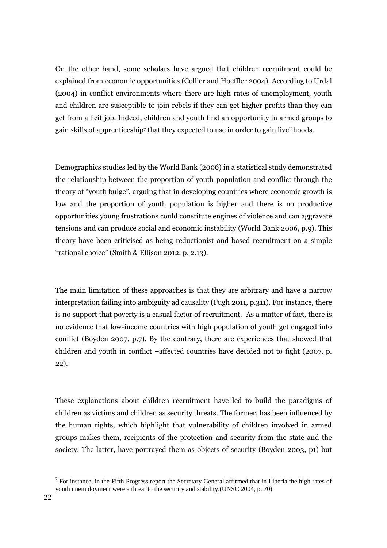On the other hand, some scholars have argued that children recruitment could be explained from economic opportunities (Collier and Hoeffler 2004). According to Urdal (2004) in conflict environments where there are high rates of unemployment, youth and children are susceptible to join rebels if they can get higher profits than they can get from a licit job. Indeed, children and youth find an opportunity in armed groups to gain skills of apprenticeship<sup>7</sup> that they expected to use in order to gain livelihoods.

Demographics studies led by the World Bank (2006) in a statistical study demonstrated the relationship between the proportion of youth population and conflict through the theory of "youth bulge", arguing that in developing countries where economic growth is low and the proportion of youth population is higher and there is no productive opportunities young frustrations could constitute engines of violence and can aggravate tensions and can produce social and economic instability (World Bank 2006, p.9). This theory have been criticised as being reductionist and based recruitment on a simple "rational choice" (Smith & Ellison 2012, p. 2.13).

The main limitation of these approaches is that they are arbitrary and have a narrow interpretation failing into ambiguity ad causality (Pugh 2011, p.311). For instance, there is no support that poverty is a casual factor of recruitment. As a matter of fact, there is no evidence that low-income countries with high population of youth get engaged into conflict (Boyden 2007, p.7). By the contrary, there are experiences that showed that children and youth in conflict –affected countries have decided not to fight (2007, p. 22).

These explanations about children recruitment have led to build the paradigms of children as victims and children as security threats. The former, has been influenced by the human rights, which highlight that vulnerability of children involved in armed groups makes them, recipients of the protection and security from the state and the society. The latter, have portrayed them as objects of security (Boyden 2003, p1) but

 $\overline{a}$ 

 $<sup>7</sup>$  For instance, in the Fifth Progress report the Secretary General affirmed that in Liberia the high rates of</sup> youth unemployment were a threat to the security and stability.(UNSC 2004, p. 70)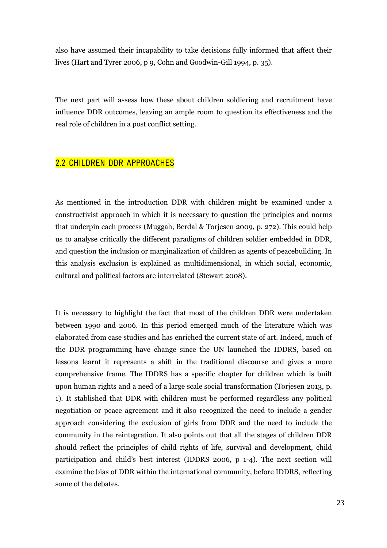also have assumed their incapability to take decisions fully informed that affect their lives (Hart and Tyrer 2006, p 9, Cohn and Goodwin-Gill 1994, p. 35).

The next part will assess how these about children soldiering and recruitment have influence DDR outcomes, leaving an ample room to question its effectiveness and the real role of children in a post conflict setting.

#### 2.2 CHILDREN DDR APPROACHES

As mentioned in the introduction DDR with children might be examined under a constructivist approach in which it is necessary to question the principles and norms that underpin each process (Muggah, Berdal & Torjesen 2009, p. 272). This could help us to analyse critically the different paradigms of children soldier embedded in DDR, and question the inclusion or marginalization of children as agents of peacebuilding. In this analysis exclusion is explained as multidimensional, in which social, economic, cultural and political factors are interrelated (Stewart 2008).

It is necessary to highlight the fact that most of the children DDR were undertaken between 1990 and 2006. In this period emerged much of the literature which was elaborated from case studies and has enriched the current state of art. Indeed, much of the DDR programming have change since the UN launched the IDDRS, based on lessons learnt it represents a shift in the traditional discourse and gives a more comprehensive frame. The IDDRS has a specific chapter for children which is built upon human rights and a need of a large scale social transformation (Torjesen 2013, p. 1). It stablished that DDR with children must be performed regardless any political negotiation or peace agreement and it also recognized the need to include a gender approach considering the exclusion of girls from DDR and the need to include the community in the reintegration. It also points out that all the stages of children DDR should reflect the principles of child rights of life, survival and development, child participation and child's best interest (IDDRS 2006, p 1-4). The next section will examine the bias of DDR within the international community, before IDDRS, reflecting some of the debates.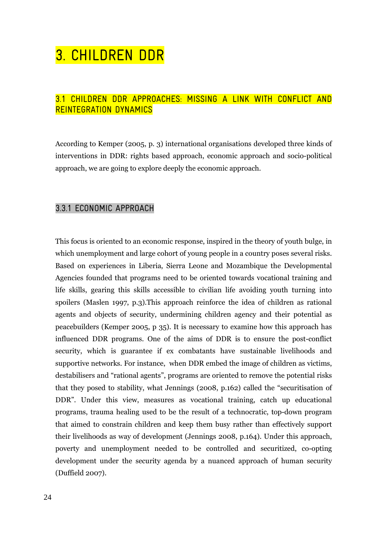## 3. CHILDREN DDR

#### 3.1 CHILDREN DDR APPROACHES: MISSING A LINK WITH CONFLICT AND REINTEGRATION DYNAMICS

According to Kemper (2005, p. 3) international organisations developed three kinds of interventions in DDR: rights based approach, economic approach and socio-political approach, we are going to explore deeply the economic approach.

#### 3.3.1 ECONOMIC APPROACH

This focus is oriented to an economic response, inspired in the theory of youth bulge, in which unemployment and large cohort of young people in a country poses several risks. Based on experiences in Liberia, Sierra Leone and Mozambique the Developmental Agencies founded that programs need to be oriented towards vocational training and life skills, gearing this skills accessible to civilian life avoiding youth turning into spoilers (Maslen 1997, p.3).This approach reinforce the idea of children as rational agents and objects of security, undermining children agency and their potential as peacebuilders (Kemper 2005, p 35). It is necessary to examine how this approach has influenced DDR programs. One of the aims of DDR is to ensure the post-conflict security, which is guarantee if ex combatants have sustainable livelihoods and supportive networks. For instance, when DDR embed the image of children as victims, destabilisers and "rational agents", programs are oriented to remove the potential risks that they posed to stability, what Jennings (2008, p.162) called the "securitisation of DDR". Under this view, measures as vocational training, catch up educational programs, trauma healing used to be the result of a technocratic, top-down program that aimed to constrain children and keep them busy rather than effectively support their livelihoods as way of development (Jennings 2008, p.164). Under this approach, poverty and unemployment needed to be controlled and securitized, co-opting development under the security agenda by a nuanced approach of human security (Duffield 2007).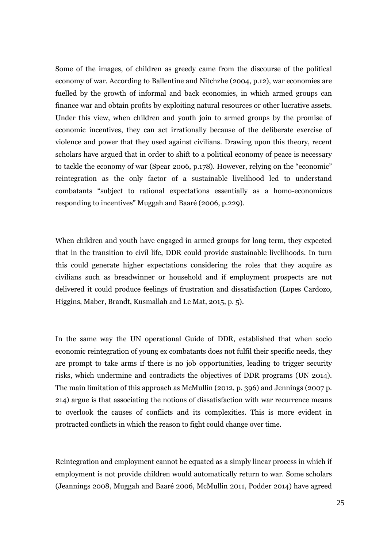Some of the images, of children as greedy came from the discourse of the political economy of war. According to Ballentine and Nitchzhe (2004, p.12), war economies are fuelled by the growth of informal and back economies, in which armed groups can finance war and obtain profits by exploiting natural resources or other lucrative assets. Under this view, when children and youth join to armed groups by the promise of economic incentives, they can act irrationally because of the deliberate exercise of violence and power that they used against civilians. Drawing upon this theory, recent scholars have argued that in order to shift to a political economy of peace is necessary to tackle the economy of war (Spear 2006, p.178). However, relying on the "economic" reintegration as the only factor of a sustainable livelihood led to understand combatants "subject to rational expectations essentially as a homo-economicus responding to incentives" Muggah and Baaré (2006, p.229).

When children and youth have engaged in armed groups for long term, they expected that in the transition to civil life, DDR could provide sustainable livelihoods. In turn this could generate higher expectations considering the roles that they acquire as civilians such as breadwinner or household and if employment prospects are not delivered it could produce feelings of frustration and dissatisfaction (Lopes Cardozo, Higgins, Maber, Brandt, Kusmallah and Le Mat, 2015, p. 5).

In the same way the UN operational Guide of DDR, established that when socio economic reintegration of young ex combatants does not fulfil their specific needs, they are prompt to take arms if there is no job opportunities, leading to trigger security risks, which undermine and contradicts the objectives of DDR programs (UN 2014). The main limitation of this approach as McMullin (2012, p. 396) and Jennings (2007 p. 214) argue is that associating the notions of dissatisfaction with war recurrence means to overlook the causes of conflicts and its complexities. This is more evident in protracted conflicts in which the reason to fight could change over time.

Reintegration and employment cannot be equated as a simply linear process in which if employment is not provide children would automatically return to war. Some scholars (Jeannings 2008, Muggah and Baaré 2006, McMullin 2011, Podder 2014) have agreed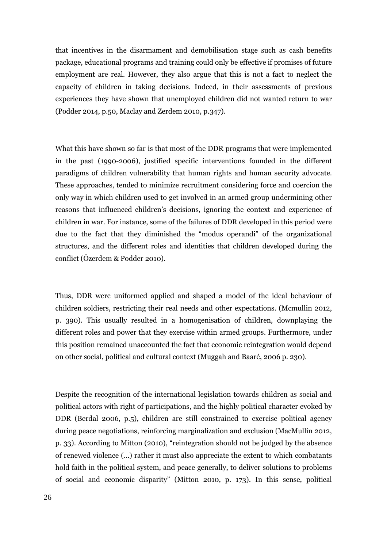that incentives in the disarmament and demobilisation stage such as cash benefits package, educational programs and training could only be effective if promises of future employment are real. However, they also argue that this is not a fact to neglect the capacity of children in taking decisions. Indeed, in their assessments of previous experiences they have shown that unemployed children did not wanted return to war (Podder 2014, p.50, Maclay and Zerdem 2010, p.347).

What this have shown so far is that most of the DDR programs that were implemented in the past (1990-2006), justified specific interventions founded in the different paradigms of children vulnerability that human rights and human security advocate. These approaches, tended to minimize recruitment considering force and coercion the only way in which children used to get involved in an armed group undermining other reasons that influenced children's decisions, ignoring the context and experience of children in war. For instance, some of the failures of DDR developed in this period were due to the fact that they diminished the "modus operandi" of the organizational structures, and the different roles and identities that children developed during the conflict (Özerdem & Podder 2010).

Thus, DDR were uniformed applied and shaped a model of the ideal behaviour of children soldiers, restricting their real needs and other expectations. (Mcmullin 2012, p. 390). This usually resulted in a homogenisation of children, downplaying the different roles and power that they exercise within armed groups. Furthermore, under this position remained unaccounted the fact that economic reintegration would depend on other social, political and cultural context (Muggah and Baaré, 2006 p. 230).

Despite the recognition of the international legislation towards children as social and political actors with right of participations, and the highly political character evoked by DDR (Berdal 2006, p.5), children are still constrained to exercise political agency during peace negotiations, reinforcing marginalization and exclusion (MacMullin 2012, p. 33). According to Mitton (2010), "reintegration should not be judged by the absence of renewed violence (…) rather it must also appreciate the extent to which combatants hold faith in the political system, and peace generally, to deliver solutions to problems of social and economic disparity" (Mitton 2010, p. 173). In this sense, political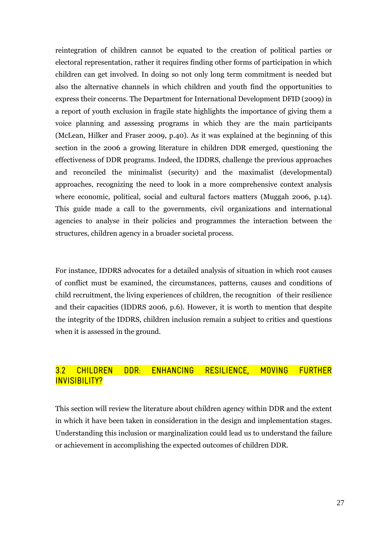reintegration of children cannot be equated to the creation of political parties or electoral representation, rather it requires finding other forms of participation in which children can get involved. In doing so not only long term commitment is needed but also the alternative channels in which children and youth find the opportunities to express their concerns. The Department for International Development DFID (2009) in a report of youth exclusion in fragile state highlights the importance of giving them a voice planning and assessing programs in which they are the main participants (McLean, Hilker and Fraser 2009, p.40). As it was explained at the beginning of this section in the 2006 a growing literature in children DDR emerged, questioning the effectiveness of DDR programs. Indeed, the IDDRS, challenge the previous approaches and reconciled the minimalist (security) and the maximalist (developmental) approaches, recognizing the need to look in a more comprehensive context analysis where economic, political, social and cultural factors matters (Muggah 2006, p.14). This guide made a call to the governments, civil organizations and international agencies to analyse in their policies and programmes the interaction between the structures, children agency in a broader societal process.

For instance, IDDRS advocates for a detailed analysis of situation in which root causes of conflict must be examined, the circumstances, patterns, causes and conditions of child recruitment, the living experiences of children, the recognition of their resilience and their capacities (IDDRS 2006, p.6). However, it is worth to mention that despite the integrity of the IDDRS, children inclusion remain a subject to critics and questions when it is assessed in the ground.

#### 3.2 CHILDREN DDR: ENHANCING RESILIENCE, MOVING FURTHER INVISIBILITY?

This section will review the literature about children agency within DDR and the extent in which it have been taken in consideration in the design and implementation stages. Understanding this inclusion or marginalization could lead us to understand the failure or achievement in accomplishing the expected outcomes of children DDR.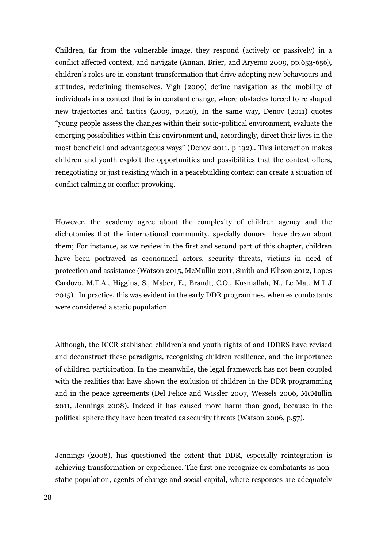Children, far from the vulnerable image, they respond (actively or passively) in a conflict affected context, and navigate (Annan, Brier, and Aryemo 2009, pp.653-656), children's roles are in constant transformation that drive adopting new behaviours and attitudes, redefining themselves. Vigh (2009) define navigation as the mobility of individuals in a context that is in constant change, where obstacles forced to re shaped new trajectories and tactics (2009, p.420), In the same way, Denov (2011) quotes "young people assess the changes within their socio-political environment, evaluate the emerging possibilities within this environment and, accordingly, direct their lives in the most beneficial and advantageous ways" (Denov 2011, p 192).. This interaction makes children and youth exploit the opportunities and possibilities that the context offers, renegotiating or just resisting which in a peacebuilding context can create a situation of conflict calming or conflict provoking.

However, the academy agree about the complexity of children agency and the dichotomies that the international community, specially donors have drawn about them; For instance, as we review in the first and second part of this chapter, children have been portrayed as economical actors, security threats, victims in need of protection and assistance (Watson 2015, McMullin 2011, Smith and Ellison 2012, Lopes Cardozo, M.T.A., Higgins, S., Maber, E., Brandt, C.O., Kusmallah, N., Le Mat, M.L.J 2015). In practice, this was evident in the early DDR programmes, when ex combatants were considered a static population.

Although, the ICCR stablished children's and youth rights of and IDDRS have revised and deconstruct these paradigms, recognizing children resilience, and the importance of children participation. In the meanwhile, the legal framework has not been coupled with the realities that have shown the exclusion of children in the DDR programming and in the peace agreements (Del Felice and Wissler 2007, Wessels 2006, McMullin 2011, Jennings 2008). Indeed it has caused more harm than good, because in the political sphere they have been treated as security threats (Watson 2006, p.57).

Jennings (2008), has questioned the extent that DDR, especially reintegration is achieving transformation or expedience. The first one recognize ex combatants as nonstatic population, agents of change and social capital, where responses are adequately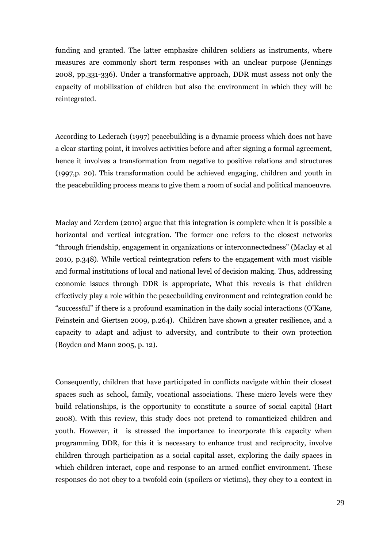funding and granted. The latter emphasize children soldiers as instruments, where measures are commonly short term responses with an unclear purpose (Jennings 2008, pp.331-336). Under a transformative approach, DDR must assess not only the capacity of mobilization of children but also the environment in which they will be reintegrated.

According to Lederach (1997) peacebuilding is a dynamic process which does not have a clear starting point, it involves activities before and after signing a formal agreement, hence it involves a transformation from negative to positive relations and structures (1997,p. 20). This transformation could be achieved engaging, children and youth in the peacebuilding process means to give them a room of social and political manoeuvre.

Maclay and Zerdem (2010) argue that this integration is complete when it is possible a horizontal and vertical integration. The former one refers to the closest networks "through friendship, engagement in organizations or interconnectedness" (Maclay et al 2010, p.348). While vertical reintegration refers to the engagement with most visible and formal institutions of local and national level of decision making. Thus, addressing economic issues through DDR is appropriate, What this reveals is that children effectively play a role within the peacebuilding environment and reintegration could be "successful" if there is a profound examination in the daily social interactions (O'Kane, Feinstein and Giertsen 2009, p.264). Children have shown a greater resilience, and a capacity to adapt and adjust to adversity, and contribute to their own protection (Boyden and Mann 2005, p. 12).

Consequently, children that have participated in conflicts navigate within their closest spaces such as school, family, vocational associations. These micro levels were they build relationships, is the opportunity to constitute a source of social capital (Hart 2008). With this review, this study does not pretend to romanticized children and youth. However, it is stressed the importance to incorporate this capacity when programming DDR, for this it is necessary to enhance trust and reciprocity, involve children through participation as a social capital asset, exploring the daily spaces in which children interact, cope and response to an armed conflict environment. These responses do not obey to a twofold coin (spoilers or victims), they obey to a context in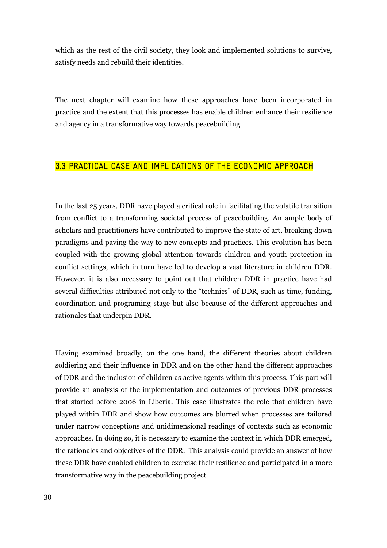which as the rest of the civil society, they look and implemented solutions to survive, satisfy needs and rebuild their identities.

The next chapter will examine how these approaches have been incorporated in practice and the extent that this processes has enable children enhance their resilience and agency in a transformative way towards peacebuilding.

#### 3.3 PRACTICAL CASE AND IMPLICATIONS OF THE ECONOMIC APPROACH

In the last 25 years, DDR have played a critical role in facilitating the volatile transition from conflict to a transforming societal process of peacebuilding. An ample body of scholars and practitioners have contributed to improve the state of art, breaking down paradigms and paving the way to new concepts and practices. This evolution has been coupled with the growing global attention towards children and youth protection in conflict settings, which in turn have led to develop a vast literature in children DDR. However, it is also necessary to point out that children DDR in practice have had several difficulties attributed not only to the "technics" of DDR, such as time, funding, coordination and programing stage but also because of the different approaches and rationales that underpin DDR.

Having examined broadly, on the one hand, the different theories about children soldiering and their influence in DDR and on the other hand the different approaches of DDR and the inclusion of children as active agents within this process. This part will provide an analysis of the implementation and outcomes of previous DDR processes that started before 2006 in Liberia. This case illustrates the role that children have played within DDR and show how outcomes are blurred when processes are tailored under narrow conceptions and unidimensional readings of contexts such as economic approaches. In doing so, it is necessary to examine the context in which DDR emerged, the rationales and objectives of the DDR. This analysis could provide an answer of how these DDR have enabled children to exercise their resilience and participated in a more transformative way in the peacebuilding project.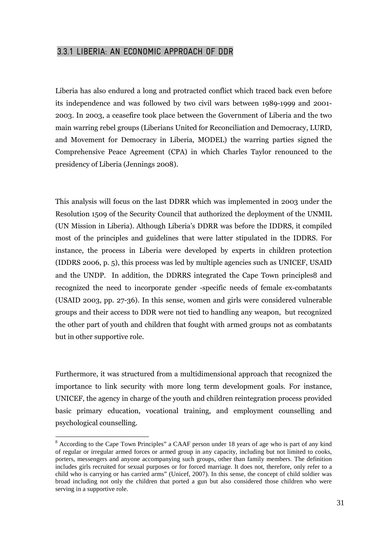#### 3.3.1 LIBERIA: AN ECONOMIC APPROACH OF DDR

Liberia has also endured a long and protracted conflict which traced back even before its independence and was followed by two civil wars between 1989-1999 and 2001- 2003. In 2003, a ceasefire took place between the Government of Liberia and the two main warring rebel groups (Liberians United for Reconciliation and Democracy, LURD, and Movement for Democracy in Liberia, MODEL) the warring parties signed the Comprehensive Peace Agreement (CPA) in which Charles Taylor renounced to the presidency of Liberia (Jennings 2008).

This analysis will focus on the last DDRR which was implemented in 2003 under the Resolution 1509 of the Security Council that authorized the deployment of the UNMIL (UN Mission in Liberia). Although Liberia's DDRR was before the IDDRS, it compiled most of the principles and guidelines that were latter stipulated in the IDDRS. For instance, the process in Liberia were developed by experts in children protection (IDDRS 2006, p. 5), this process was led by multiple agencies such as UNICEF, USAID and the UNDP. In addition, the DDRRS integrated the Cape Town principles8 and recognized the need to incorporate gender -specific needs of female ex-combatants (USAID 2003, pp. 27-36). In this sense, women and girls were considered vulnerable groups and their access to DDR were not tied to handling any weapon, but recognized the other part of youth and children that fought with armed groups not as combatants but in other supportive role.

Furthermore, it was structured from a multidimensional approach that recognized the importance to link security with more long term development goals. For instance, UNICEF, the agency in charge of the youth and children reintegration process provided basic primary education, vocational training, and employment counselling and psychological counselling.

 $\overline{a}$ 

<sup>&</sup>lt;sup>8</sup> According to the Cape Town Principles" a CAAF person under 18 years of age who is part of any kind of regular or irregular armed forces or armed group in any capacity, including but not limited to cooks, porters, messengers and anyone accompanying such groups, other than family members. The definition includes girls recruited for sexual purposes or for forced marriage. It does not, therefore, only refer to a child who is carrying or has carried arms" (Unicef, 2007). In this sense, the concept of child soldier was broad including not only the children that ported a gun but also considered those children who were serving in a supportive role.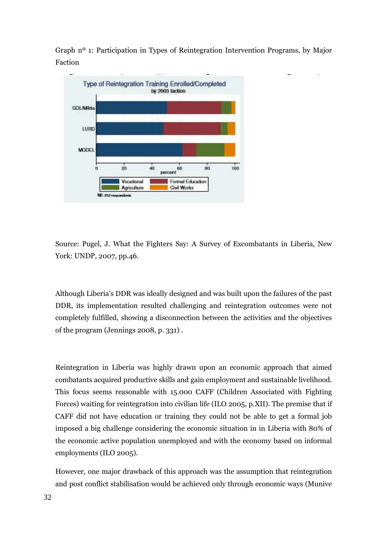Graph nº 1: Participation in Types of Reintegration Intervention Programs, by Major Faction



Source: Pugel, J. What the Fighters Say: A Survey of Excombatants in Liberia, New York: UNDP, 2007, pp.46.

Although Liberia's DDR was ideally designed and was built upon the failures of the past DDR, its implementation resulted challenging and reintegration outcomes were not completely fulfilled, showing a disconnection between the activities and the objectives of the program (Jennings 2008, p. 331) .

Reintegration in Liberia was highly drawn upon an economic approach that aimed combatants acquired productive skills and gain employment and sustainable livelihood. This focus seems reasonable with 15.000 CAFF (Children Associated with Fighting Forces) waiting for reintegration into civilian life (ILO 2005, p.XII). The premise that if CAFF did not have education or training they could not be able to get a formal job imposed a big challenge considering the economic situation in in Liberia with 80% of the economic active population unemployed and with the economy based on informal employments (ILO 2005).

However, one major drawback of this approach was the assumption that reintegration and post conflict stabilisation would be achieved only through economic ways (Munive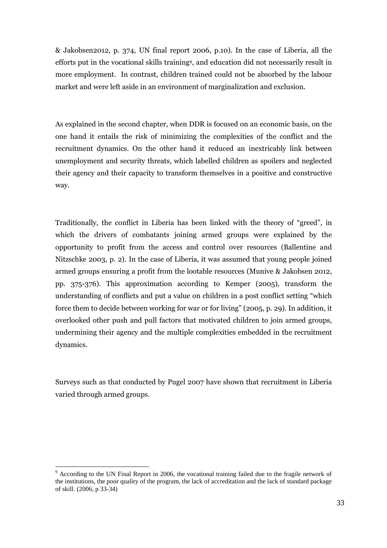& Jakobsen2012, p. 374, UN final report 2006, p.10). In the case of Liberia, all the efforts put in the vocational skills training<sup>9</sup> , and education did not necessarily result in more employment. In contrast, children trained could not be absorbed by the labour market and were left aside in an environment of marginalization and exclusion.

As explained in the second chapter, when DDR is focused on an economic basis, on the one hand it entails the risk of minimizing the complexities of the conflict and the recruitment dynamics. On the other hand it reduced an inextricably link between unemployment and security threats, which labelled children as spoilers and neglected their agency and their capacity to transform themselves in a positive and constructive way.

Traditionally, the conflict in Liberia has been linked with the theory of "greed", in which the drivers of combatants joining armed groups were explained by the opportunity to profit from the access and control over resources (Ballentine and Nitzschke 2003, p. 2). In the case of Liberia, it was assumed that young people joined armed groups ensuring a profit from the lootable resources (Munive & Jakobsen 2012, pp. 375-376). This approximation according to Kemper (2005), transform the understanding of conflicts and put a value on children in a post conflict setting "which force them to decide between working for war or for living" (2005, p. 29). In addition, it overlooked other push and pull factors that motivated children to join armed groups, undermining their agency and the multiple complexities embedded in the recruitment dynamics.

Surveys such as that conducted by Pugel 2007 have shown that recruitment in Liberia varied through armed groups.

 $\overline{a}$ 

<sup>&</sup>lt;sup>9</sup> According to the UN Final Report in 2006, the vocational training failed due to the fragile network of the institutions, the poor quality of the program, the lack of accreditation and the lack of standard package of skill. (2006, p 33-34)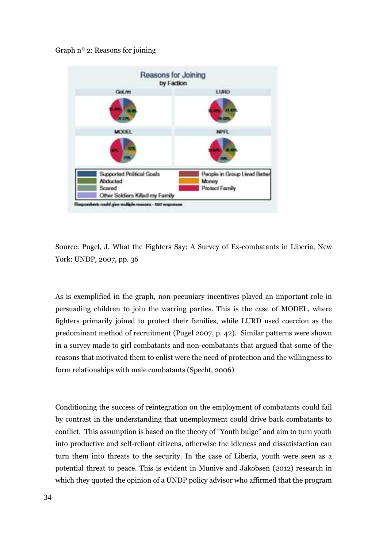#### Graph nº 2: Reasons for joining



Source: Pugel, J. What the Fighters Say: A Survey of Ex-combatants in Liberia, New York: UNDP, 2007, pp. 36

As is exemplified in the graph, non-pecuniary incentives played an important role in persuading children to join the warring parties. This is the case of MODEL, where fighters primarily joined to protect their families, while LURD used coercion as the predominant method of recruitment (Pugel 2007, p. 42). Similar patterns were shown in a survey made to girl combatants and non-combatants that argued that some of the reasons that motivated them to enlist were the need of protection and the willingness to form relationships with male combatants (Specht, 2006)

Conditioning the success of reintegration on the employment of combatants could fail by contrast in the understanding that unemployment could drive back combatants to conflict. This assumption is based on the theory of "Youth bulge" and aim to turn youth into productive and self-reliant citizens, otherwise the idleness and dissatisfaction can turn them into threats to the security. In the case of Liberia, youth were seen as a potential threat to peace. This is evident in Munive and Jakobsen (2012) research in which they quoted the opinion of a UNDP policy advisor who affirmed that the program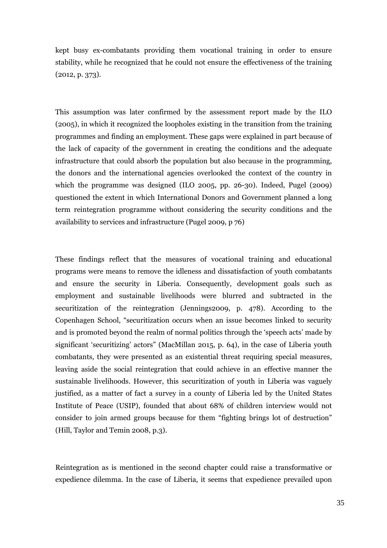kept busy ex-combatants providing them vocational training in order to ensure stability, while he recognized that he could not ensure the effectiveness of the training (2012, p. 373).

This assumption was later confirmed by the assessment report made by the ILO (2005), in which it recognized the loopholes existing in the transition from the training programmes and finding an employment. These gaps were explained in part because of the lack of capacity of the government in creating the conditions and the adequate infrastructure that could absorb the population but also because in the programming, the donors and the international agencies overlooked the context of the country in which the programme was designed (ILO 2005, pp. 26-30). Indeed, Pugel (2009) questioned the extent in which International Donors and Government planned a long term reintegration programme without considering the security conditions and the availability to services and infrastructure (Pugel 2009, p 76)

These findings reflect that the measures of vocational training and educational programs were means to remove the idleness and dissatisfaction of youth combatants and ensure the security in Liberia. Consequently, development goals such as employment and sustainable livelihoods were blurred and subtracted in the securitization of the reintegration (Jennings2009, p. 478). According to the Copenhagen School, "securitization occurs when an issue becomes linked to security and is promoted beyond the realm of normal politics through the 'speech acts' made by significant 'securitizing' actors" (MacMillan 2015, p. 64), in the case of Liberia youth combatants, they were presented as an existential threat requiring special measures, leaving aside the social reintegration that could achieve in an effective manner the sustainable livelihoods. However, this securitization of youth in Liberia was vaguely justified, as a matter of fact a survey in a county of Liberia led by the United States Institute of Peace (USIP), founded that about 68% of children interview would not consider to join armed groups because for them "fighting brings lot of destruction" (Hill, Taylor and Temin 2008, p.3).

Reintegration as is mentioned in the second chapter could raise a transformative or expedience dilemma. In the case of Liberia, it seems that expedience prevailed upon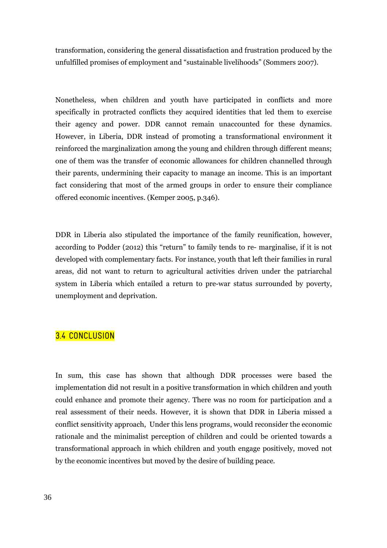transformation, considering the general dissatisfaction and frustration produced by the unfulfilled promises of employment and "sustainable livelihoods" (Sommers 2007).

Nonetheless, when children and youth have participated in conflicts and more specifically in protracted conflicts they acquired identities that led them to exercise their agency and power. DDR cannot remain unaccounted for these dynamics. However, in Liberia, DDR instead of promoting a transformational environment it reinforced the marginalization among the young and children through different means; one of them was the transfer of economic allowances for children channelled through their parents, undermining their capacity to manage an income. This is an important fact considering that most of the armed groups in order to ensure their compliance offered economic incentives. (Kemper 2005, p.346).

DDR in Liberia also stipulated the importance of the family reunification, however, according to Podder (2012) this "return" to family tends to re- marginalise, if it is not developed with complementary facts. For instance, youth that left their families in rural areas, did not want to return to agricultural activities driven under the patriarchal system in Liberia which entailed a return to pre-war status surrounded by poverty, unemployment and deprivation.

#### 3.4 CONCLUSION

In sum, this case has shown that although DDR processes were based the implementation did not result in a positive transformation in which children and youth could enhance and promote their agency. There was no room for participation and a real assessment of their needs. However, it is shown that DDR in Liberia missed a conflict sensitivity approach, Under this lens programs, would reconsider the economic rationale and the minimalist perception of children and could be oriented towards a transformational approach in which children and youth engage positively, moved not by the economic incentives but moved by the desire of building peace.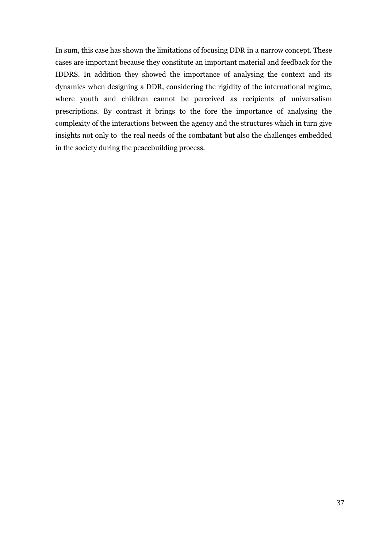In sum, this case has shown the limitations of focusing DDR in a narrow concept. These cases are important because they constitute an important material and feedback for the IDDRS. In addition they showed the importance of analysing the context and its dynamics when designing a DDR, considering the rigidity of the international regime, where youth and children cannot be perceived as recipients of universalism prescriptions. By contrast it brings to the fore the importance of analysing the complexity of the interactions between the agency and the structures which in turn give insights not only to the real needs of the combatant but also the challenges embedded in the society during the peacebuilding process.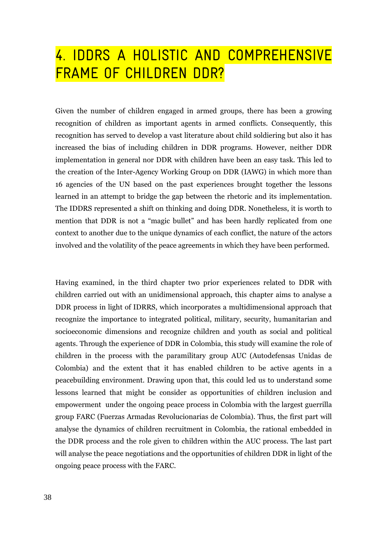## 4. IDDRS A HOLISTIC AND COMPREHENSIVE FRAME OF CHILDREN DDR?

Given the number of children engaged in armed groups, there has been a growing recognition of children as important agents in armed conflicts. Consequently, this recognition has served to develop a vast literature about child soldiering but also it has increased the bias of including children in DDR programs. However, neither DDR implementation in general nor DDR with children have been an easy task. This led to the creation of the Inter-Agency Working Group on DDR (IAWG) in which more than 16 agencies of the UN based on the past experiences brought together the lessons learned in an attempt to bridge the gap between the rhetoric and its implementation. The IDDRS represented a shift on thinking and doing DDR. Nonetheless, it is worth to mention that DDR is not a "magic bullet" and has been hardly replicated from one context to another due to the unique dynamics of each conflict, the nature of the actors involved and the volatility of the peace agreements in which they have been performed.

Having examined, in the third chapter two prior experiences related to DDR with children carried out with an unidimensional approach, this chapter aims to analyse a DDR process in light of IDRRS, which incorporates a multidimensional approach that recognize the importance to integrated political, military, security, humanitarian and socioeconomic dimensions and recognize children and youth as social and political agents. Through the experience of DDR in Colombia, this study will examine the role of children in the process with the paramilitary group AUC (Autodefensas Unidas de Colombia) and the extent that it has enabled children to be active agents in a peacebuilding environment. Drawing upon that, this could led us to understand some lessons learned that might be consider as opportunities of children inclusion and empowerment under the ongoing peace process in Colombia with the largest guerrilla group FARC (Fuerzas Armadas Revolucionarias de Colombia). Thus, the first part will analyse the dynamics of children recruitment in Colombia, the rational embedded in the DDR process and the role given to children within the AUC process. The last part will analyse the peace negotiations and the opportunities of children DDR in light of the ongoing peace process with the FARC.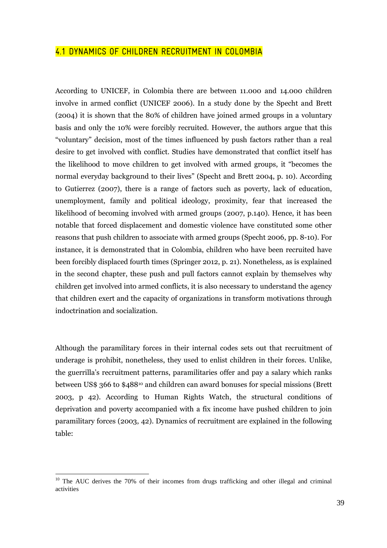#### 4.1 DYNAMICS OF CHILDREN RECRUITMENT IN COLOMBIA

According to UNICEF, in Colombia there are between 11.000 and 14.000 children involve in armed conflict (UNICEF 2006). In a study done by the Specht and Brett (2004) it is shown that the 80% of children have joined armed groups in a voluntary basis and only the 10% were forcibly recruited. However, the authors argue that this "voluntary" decision, most of the times influenced by push factors rather than a real desire to get involved with conflict. Studies have demonstrated that conflict itself has the likelihood to move children to get involved with armed groups, it "becomes the normal everyday background to their lives" (Specht and Brett 2004, p. 10). According to Gutierrez (2007), there is a range of factors such as poverty, lack of education, unemployment, family and political ideology, proximity, fear that increased the likelihood of becoming involved with armed groups (2007, p.140). Hence, it has been notable that forced displacement and domestic violence have constituted some other reasons that push children to associate with armed groups (Specht 2006, pp. 8-10). For instance, it is demonstrated that in Colombia, children who have been recruited have been forcibly displaced fourth times (Springer 2012, p. 21). Nonetheless, as is explained in the second chapter, these push and pull factors cannot explain by themselves why children get involved into armed conflicts, it is also necessary to understand the agency that children exert and the capacity of organizations in transform motivations through indoctrination and socialization.

Although the paramilitary forces in their internal codes sets out that recruitment of underage is prohibit, nonetheless, they used to enlist children in their forces. Unlike, the guerrilla's recruitment patterns, paramilitaries offer and pay a salary which ranks between US\$ 366 to \$48810 and children can award bonuses for special missions (Brett 2003, p 42). According to Human Rights Watch, the structural conditions of deprivation and poverty accompanied with a fix income have pushed children to join paramilitary forces (2003, 42). Dynamics of recruitment are explained in the following table:

 $\overline{a}$ 

 $10$  The AUC derives the 70% of their incomes from drugs trafficking and other illegal and criminal activities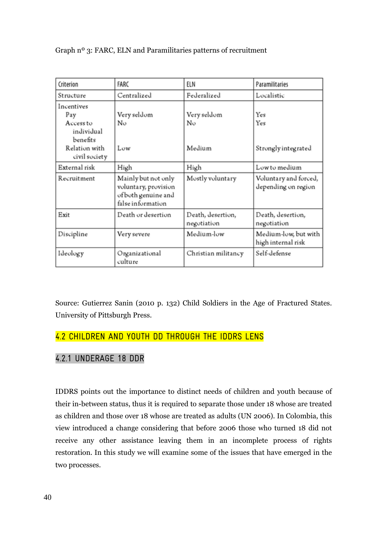Graph nº 3: FARC, ELN and Paramilitaries patterns of recruitment

| Criterion                                                                                  | <b>FARC</b>                                                                             | ELN                              | Paramilitaries                               |
|--------------------------------------------------------------------------------------------|-----------------------------------------------------------------------------------------|----------------------------------|----------------------------------------------|
| Structure                                                                                  | Centralized                                                                             | Federalized                      | Localistic                                   |
| Incentives<br>Pay<br>Access to<br>individual<br>benefits<br>Relation with<br>civil society | Very seldom<br>Nο<br>Low                                                                | Very seldom<br>No<br>Medium      | Yes<br>Yes<br>Strongly integrated            |
| External risk                                                                              | High                                                                                    | High                             | Low to medium                                |
| Recruitment                                                                                | Mainly but not only<br>voluntary, provision<br>of both genuine and<br>false information | Mostly voluntary                 | Voluntary and forced,<br>depending on region |
| Exit                                                                                       | Death or desertion                                                                      | Death, desertion,<br>negotiation | Death, desertion,<br>negotiation             |
| Discipline                                                                                 | Very severe                                                                             | Medium-low                       | Medium-low, but with<br>high internal risk   |
| Ideology                                                                                   | Organizational<br>culture                                                               | Christian militancy              | Self-defense                                 |

Source: Gutierrez Sanin (2010 p. 132) Child Soldiers in the Age of Fractured States. University of Pittsburgh Press.

#### 4.2 CHILDREN AND YOUTH DD THROUGH THE IDDRS LENS

#### 4.2.1 UNDERAGE 18 DDR

IDDRS points out the importance to distinct needs of children and youth because of their in-between status, thus it is required to separate those under 18 whose are treated as children and those over 18 whose are treated as adults (UN 2006). In Colombia, this view introduced a change considering that before 2006 those who turned 18 did not receive any other assistance leaving them in an incomplete process of rights restoration. In this study we will examine some of the issues that have emerged in the two processes.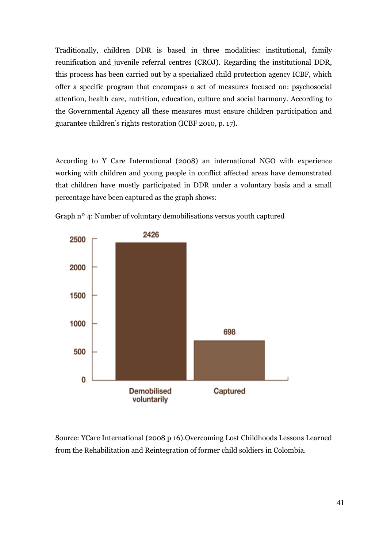Traditionally, children DDR is based in three modalities: institutional, family reunification and juvenile referral centres (CROJ). Regarding the institutional DDR, this process has been carried out by a specialized child protection agency ICBF, which offer a specific program that encompass a set of measures focused on: psychosocial attention, health care, nutrition, education, culture and social harmony. According to the Governmental Agency all these measures must ensure children participation and guarantee children's rights restoration (ICBF 2010, p. 17).

According to Y Care International (2008) an international NGO with experience working with children and young people in conflict affected areas have demonstrated that children have mostly participated in DDR under a voluntary basis and a small percentage have been captured as the graph shows:





Source: YCare International (2008 p 16).Overcoming Lost Childhoods Lessons Learned from the Rehabilitation and Reintegration of former child soldiers in Colombia.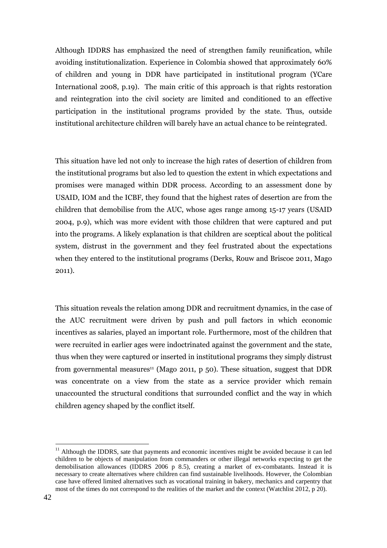Although IDDRS has emphasized the need of strengthen family reunification, while avoiding institutionalization. Experience in Colombia showed that approximately 60% of children and young in DDR have participated in institutional program (YCare International 2008, p.19). The main critic of this approach is that rights restoration and reintegration into the civil society are limited and conditioned to an effective participation in the institutional programs provided by the state. Thus, outside institutional architecture children will barely have an actual chance to be reintegrated.

This situation have led not only to increase the high rates of desertion of children from the institutional programs but also led to question the extent in which expectations and promises were managed within DDR process. According to an assessment done by USAID, IOM and the ICBF, they found that the highest rates of desertion are from the children that demobilise from the AUC, whose ages range among 15-17 years (USAID 2004, p.9), which was more evident with those children that were captured and put into the programs. A likely explanation is that children are sceptical about the political system, distrust in the government and they feel frustrated about the expectations when they entered to the institutional programs (Derks, Rouw and Briscoe 2011, Mago 2011).

This situation reveals the relation among DDR and recruitment dynamics, in the case of the AUC recruitment were driven by push and pull factors in which economic incentives as salaries, played an important role. Furthermore, most of the children that were recruited in earlier ages were indoctrinated against the government and the state, thus when they were captured or inserted in institutional programs they simply distrust from governmental measures<sup>11</sup> (Mago 2011, p 50). These situation, suggest that DDR was concentrate on a view from the state as a service provider which remain unaccounted the structural conditions that surrounded conflict and the way in which children agency shaped by the conflict itself.

 $\overline{a}$ 

 $11$  Although the IDDRS, sate that payments and economic incentives might be avoided because it can led children to be objects of manipulation from commanders or other illegal networks expecting to get the demobilisation allowances (IDDRS 2006 p 8.5), creating a market of ex-combatants. Instead it is necessary to create alternatives where children can find sustainable livelihoods. However, the Colombian case have offered limited alternatives such as vocational training in bakery, mechanics and carpentry that most of the times do not correspond to the realities of the market and the context (Watchlist 2012, p 20).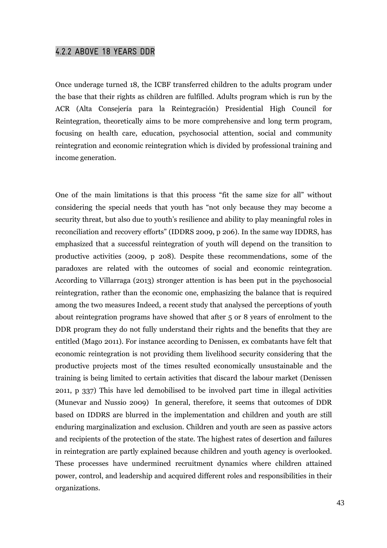#### 4.2.2 ABOVE 18 YEARS DDR

Once underage turned 18, the ICBF transferred children to the adults program under the base that their rights as children are fulfilled. Adults program which is run by the ACR (Alta Consejería para la Reintegración) Presidential High Council for Reintegration, theoretically aims to be more comprehensive and long term program, focusing on health care, education, psychosocial attention, social and community reintegration and economic reintegration which is divided by professional training and income generation.

One of the main limitations is that this process "fit the same size for all" without considering the special needs that youth has "not only because they may become a security threat, but also due to youth's resilience and ability to play meaningful roles in reconciliation and recovery efforts" (IDDRS 2009, p 206). In the same way IDDRS, has emphasized that a successful reintegration of youth will depend on the transition to productive activities (2009, p 208). Despite these recommendations, some of the paradoxes are related with the outcomes of social and economic reintegration. According to Villarraga (2013) stronger attention is has been put in the psychosocial reintegration, rather than the economic one, emphasizing the balance that is required among the two measures Indeed, a recent study that analysed the perceptions of youth about reintegration programs have showed that after 5 or 8 years of enrolment to the DDR program they do not fully understand their rights and the benefits that they are entitled (Mago 2011). For instance according to Denissen, ex combatants have felt that economic reintegration is not providing them livelihood security considering that the productive projects most of the times resulted economically unsustainable and the training is being limited to certain activities that discard the labour market (Denissen 2011, p 337) This have led demobilised to be involved part time in illegal activities (Munevar and Nussio 2009) In general, therefore, it seems that outcomes of DDR based on IDDRS are blurred in the implementation and children and youth are still enduring marginalization and exclusion. Children and youth are seen as passive actors and recipients of the protection of the state. The highest rates of desertion and failures in reintegration are partly explained because children and youth agency is overlooked. These processes have undermined recruitment dynamics where children attained power, control, and leadership and acquired different roles and responsibilities in their organizations.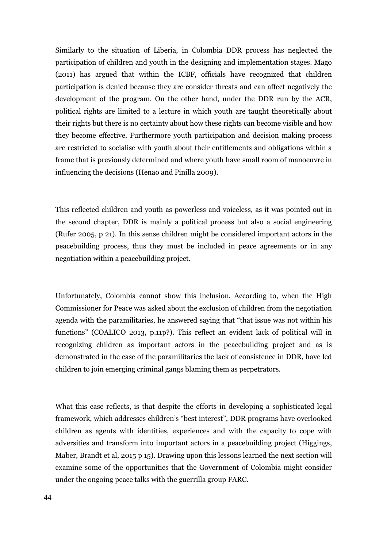Similarly to the situation of Liberia, in Colombia DDR process has neglected the participation of children and youth in the designing and implementation stages. Mago (2011) has argued that within the ICBF, officials have recognized that children participation is denied because they are consider threats and can affect negatively the development of the program. On the other hand, under the DDR run by the ACR, political rights are limited to a lecture in which youth are taught theoretically about their rights but there is no certainty about how these rights can become visible and how they become effective. Furthermore youth participation and decision making process are restricted to socialise with youth about their entitlements and obligations within a frame that is previously determined and where youth have small room of manoeuvre in influencing the decisions (Henao and Pinilla 2009).

This reflected children and youth as powerless and voiceless, as it was pointed out in the second chapter, DDR is mainly a political process but also a social engineering (Rufer 2005, p 21). In this sense children might be considered important actors in the peacebuilding process, thus they must be included in peace agreements or in any negotiation within a peacebuilding project.

Unfortunately, Colombia cannot show this inclusion. According to, when the High Commissioner for Peace was asked about the exclusion of children from the negotiation agenda with the paramilitaries, he answered saying that "that issue was not within his functions" (COALICO 2013, p.11p?). This reflect an evident lack of political will in recognizing children as important actors in the peacebuilding project and as is demonstrated in the case of the paramilitaries the lack of consistence in DDR, have led children to join emerging criminal gangs blaming them as perpetrators.

What this case reflects, is that despite the efforts in developing a sophisticated legal framework, which addresses children's "best interest", DDR programs have overlooked children as agents with identities, experiences and with the capacity to cope with adversities and transform into important actors in a peacebuilding project (Higgings, Maber, Brandt et al, 2015 p 15). Drawing upon this lessons learned the next section will examine some of the opportunities that the Government of Colombia might consider under the ongoing peace talks with the guerrilla group FARC.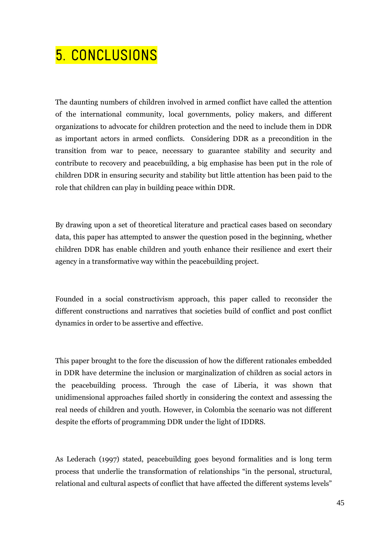## 5. CONCLUSIONS

The daunting numbers of children involved in armed conflict have called the attention of the international community, local governments, policy makers, and different organizations to advocate for children protection and the need to include them in DDR as important actors in armed conflicts. Considering DDR as a precondition in the transition from war to peace, necessary to guarantee stability and security and contribute to recovery and peacebuilding, a big emphasise has been put in the role of children DDR in ensuring security and stability but little attention has been paid to the role that children can play in building peace within DDR.

By drawing upon a set of theoretical literature and practical cases based on secondary data, this paper has attempted to answer the question posed in the beginning, whether children DDR has enable children and youth enhance their resilience and exert their agency in a transformative way within the peacebuilding project.

Founded in a social constructivism approach, this paper called to reconsider the different constructions and narratives that societies build of conflict and post conflict dynamics in order to be assertive and effective.

This paper brought to the fore the discussion of how the different rationales embedded in DDR have determine the inclusion or marginalization of children as social actors in the peacebuilding process. Through the case of Liberia, it was shown that unidimensional approaches failed shortly in considering the context and assessing the real needs of children and youth. However, in Colombia the scenario was not different despite the efforts of programming DDR under the light of IDDRS.

As Lederach (1997) stated, peacebuilding goes beyond formalities and is long term process that underlie the transformation of relationships "in the personal, structural, relational and cultural aspects of conflict that have affected the different systems levels"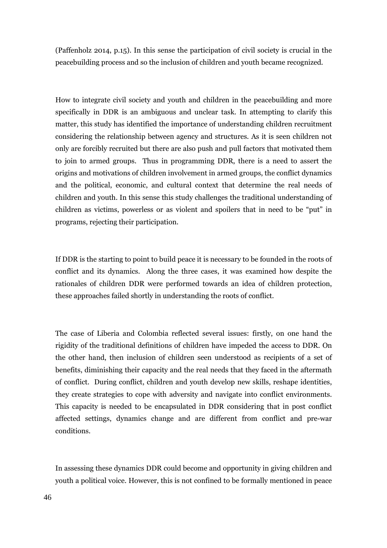(Paffenholz 2014, p.15). In this sense the participation of civil society is crucial in the peacebuilding process and so the inclusion of children and youth became recognized.

How to integrate civil society and youth and children in the peacebuilding and more specifically in DDR is an ambiguous and unclear task. In attempting to clarify this matter, this study has identified the importance of understanding children recruitment considering the relationship between agency and structures. As it is seen children not only are forcibly recruited but there are also push and pull factors that motivated them to join to armed groups. Thus in programming DDR, there is a need to assert the origins and motivations of children involvement in armed groups, the conflict dynamics and the political, economic, and cultural context that determine the real needs of children and youth. In this sense this study challenges the traditional understanding of children as victims, powerless or as violent and spoilers that in need to be "put" in programs, rejecting their participation.

If DDR is the starting to point to build peace it is necessary to be founded in the roots of conflict and its dynamics. Along the three cases, it was examined how despite the rationales of children DDR were performed towards an idea of children protection, these approaches failed shortly in understanding the roots of conflict.

The case of Liberia and Colombia reflected several issues: firstly, on one hand the rigidity of the traditional definitions of children have impeded the access to DDR. On the other hand, then inclusion of children seen understood as recipients of a set of benefits, diminishing their capacity and the real needs that they faced in the aftermath of conflict. During conflict, children and youth develop new skills, reshape identities, they create strategies to cope with adversity and navigate into conflict environments. This capacity is needed to be encapsulated in DDR considering that in post conflict affected settings, dynamics change and are different from conflict and pre-war conditions.

In assessing these dynamics DDR could become and opportunity in giving children and youth a political voice. However, this is not confined to be formally mentioned in peace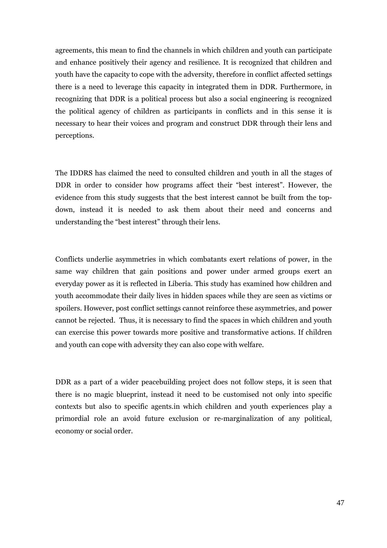agreements, this mean to find the channels in which children and youth can participate and enhance positively their agency and resilience. It is recognized that children and youth have the capacity to cope with the adversity, therefore in conflict affected settings there is a need to leverage this capacity in integrated them in DDR. Furthermore, in recognizing that DDR is a political process but also a social engineering is recognized the political agency of children as participants in conflicts and in this sense it is necessary to hear their voices and program and construct DDR through their lens and perceptions.

The IDDRS has claimed the need to consulted children and youth in all the stages of DDR in order to consider how programs affect their "best interest". However, the evidence from this study suggests that the best interest cannot be built from the topdown, instead it is needed to ask them about their need and concerns and understanding the "best interest" through their lens.

Conflicts underlie asymmetries in which combatants exert relations of power, in the same way children that gain positions and power under armed groups exert an everyday power as it is reflected in Liberia. This study has examined how children and youth accommodate their daily lives in hidden spaces while they are seen as victims or spoilers. However, post conflict settings cannot reinforce these asymmetries, and power cannot be rejected. Thus, it is necessary to find the spaces in which children and youth can exercise this power towards more positive and transformative actions. If children and youth can cope with adversity they can also cope with welfare.

DDR as a part of a wider peacebuilding project does not follow steps, it is seen that there is no magic blueprint, instead it need to be customised not only into specific contexts but also to specific agents.in which children and youth experiences play a primordial role an avoid future exclusion or re-marginalization of any political, economy or social order.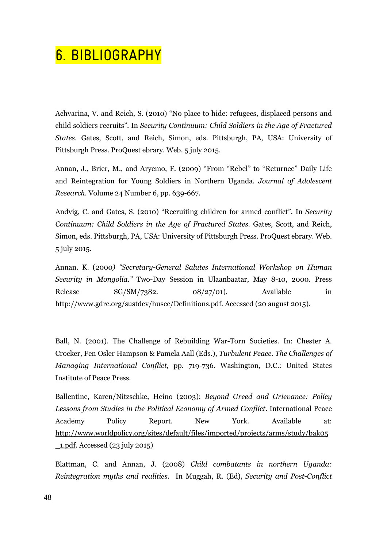### 6. BIBLIOGRAPHY

Achvarina, V. and Reich, S. (2010) "No place to hide: refugees, displaced persons and child soldiers recruits". In *Security Continuum: Child Soldiers in the Age of Fractured States*. Gates, Scott, and Reich, Simon, eds. Pittsburgh, PA, USA: University of Pittsburgh Press. ProQuest ebrary. Web. 5 july 2015.

Annan, J., Brier, M., and Aryemo, F. (2009) "From "Rebel" to "Returnee" Daily Life and Reintegration for Young Soldiers in Northern Uganda. *Journal of Adolescent Research.* Volume 24 Number 6, pp. 639-667.

Andvig, C. and Gates, S. (2010) "Recruiting children for armed conflict". In *Security Continuum: Child Soldiers in the Age of Fractured States*. Gates, Scott, and Reich, Simon, eds. Pittsburgh, PA, USA: University of Pittsburgh Press. ProQuest ebrary. Web. 5 july 2015.

Annan. K. (2000*) "Secretary-General Salutes International Workshop on Human Security in Mongolia."* Two-Day Session in Ulaanbaatar, May 8-10, 2000. Press Release SG/SM/7382. 08/27/01). Available in http://www.gdrc.org/sustdev/husec/Definitions.pdf. Accessed (20 august 2015).

Ball, N. (2001). The Challenge of Rebuilding War-Torn Societies. In: Chester A. Crocker, Fen Osler Hampson & Pamela Aall (Eds.), *Turbulent Peace. The Challenges of Managing International Conflict,* pp. 719-736. Washington, D.C.: United States Institute of Peace Press.

Ballentine, Karen/Nitzschke, Heino (2003): *Beyond Greed and Grievance: Policy Lessons from Studies in the Political Economy of Armed Conflict*. International Peace Academy Policy Report. New York. Available at: http://www.worldpolicy.org/sites/default/files/imported/projects/arms/study/bak05 \_1.pdf. Accessed (23 july 2015)

Blattman, C. and Annan, J. (2008) *Child combatants in northern Uganda: Reintegration myths and realities.* In Muggah, R. (Ed), *Security and Post-Conflict*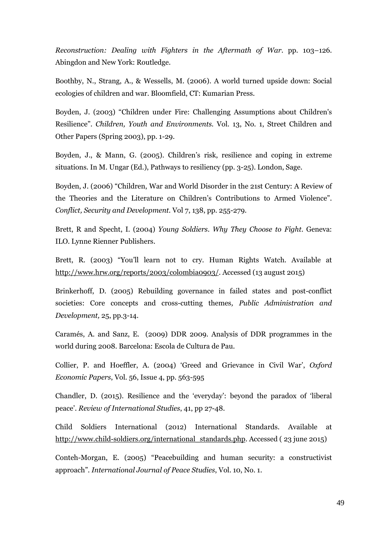*Reconstruction: Dealing with Fighters in the Aftermath of War*. pp. 103–126. Abingdon and New York: Routledge.

Boothby, N., Strang, A., & Wessells, M. (2006). A world turned upside down: Social ecologies of children and war. Bloomfield, CT: Kumarian Press.

Boyden, J. (2003) "Children under Fire: Challenging Assumptions about Children's Resilience". *Children, Youth and Environments.* Vol. 13, No. 1, Street Children and Other Papers (Spring 2003), pp. 1-29.

Boyden, J., & Mann, G. (2005). Children's risk, resilience and coping in extreme situations. In M. Ungar (Ed.), Pathways to resiliency (pp. 3-25). London, Sage.

Boyden, J. (2006) "Children, War and World Disorder in the 21st Century: A Review of the Theories and the Literature on Children's Contributions to Armed Violence". *Conflict, Security and Development.* Vol 7, 138, pp. 255-279.

Brett, R and Specht, I. (2004) *Young Soldiers. Why They Choose to Fight*. Geneva: ILO. Lynne Rienner Publishers.

Brett, R. (2003) "You'll learn not to cry. Human Rights Watch. Available at http://www.hrw.org/reports/2003/colombia0903/. Accessed (13 august 2015)

Brinkerhoff, D. (2005) Rebuilding governance in failed states and post-conflict societies: Core concepts and cross-cutting themes*, Public Administration and Development,* 25, pp.3-14.

Caramés, A. and Sanz, E. (2009) DDR 2009. Analysis of DDR programmes in the world during 2008. Barcelona: Escola de Cultura de Pau.

Collier, P. and Hoeffler, A. (2004) 'Greed and Grievance in Civil War', *Oxford Economic Papers*, Vol. 56, Issue 4, pp. 563-595

Chandler, D. (2015). Resilience and the 'everyday': beyond the paradox of 'liberal peace'. *Review of International Studies*, 41, pp 27-48.

Child Soldiers International (2012) International Standards. Available at http://www.child-soldiers.org/international\_standards.php. Accessed ( 23 june 2015)

Conteh-Morgan, E. (2005) "Peacebuilding and human security: a constructivist approach". *International Journal of Peace Studies*, Vol. 10, No. 1.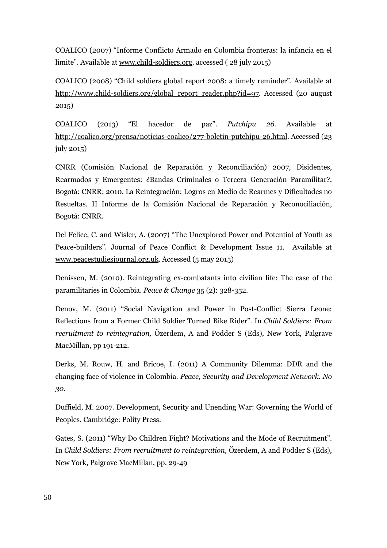COALICO (2007) "Informe Conflicto Armado en Colombia fronteras: la infancia en el límite". Available at www.child-soldiers.org. accessed (28 july 2015)

COALICO (2008) "Child soldiers global report 2008: a timely reminder". Available at http://www.child-soldiers.org/global\_report\_reader.php?id=97. Accessed (20 august 2015)

COALICO (2013) "El hacedor de paz". *Putchipu 26.* Available at http://coalico.org/prensa/noticias-coalico/277-boletin-putchipu-26.html. Accessed (23 july 2015)

CNRR (Comisión Nacional de Reparación y Reconciliación) 2007, Disidentes, Rearmados y Emergentes: ¿Bandas Criminales o Tercera Generación Paramilitar?, Bogotá: CNRR; 2010. La Reintegración: Logros en Medio de Rearmes y Dificultades no Resueltas. II Informe de la Comisión Nacional de Reparación y Reconociliación, Bogotá: CNRR.

Del Felice, C. and Wisler, A. (2007) "The Unexplored Power and Potential of Youth as Peace-builders". Journal of Peace Conflict & Development Issue 11. Available at www.peacestudiesjournal.org.uk. Accessed (5 may 2015)

Denissen, M. (2010). Reintegrating ex-combatants into civilian life: The case of the paramilitaries in Colombia. *Peace & Change* 35 (2): 328-352.

Denov, M. (2011) "Social Navigation and Power in Post-Conflict Sierra Leone: Reflections from a Former Child Soldier Turned Bike Rider". In *Child Soldiers: From recruitment to reintegration,* Özerdem, A and Podder S (Eds), New York, Palgrave MacMillan, pp 191-212.

Derks, M. Rouw, H. and Bricoe, I. (2011) A Community Dilemma: DDR and the changing face of violence in Colombia. *Peace, Security and Development Network. No 30.*

Duffield, M. 2007. Development, Security and Unending War: Governing the World of Peoples. Cambridge: Polity Press.

Gates, S. (2011) "Why Do Children Fight? Motivations and the Mode of Recruitment". In *Child Soldiers: From recruitment to reintegration,* Özerdem, A and Podder S (Eds), New York, Palgrave MacMillan, pp. 29-49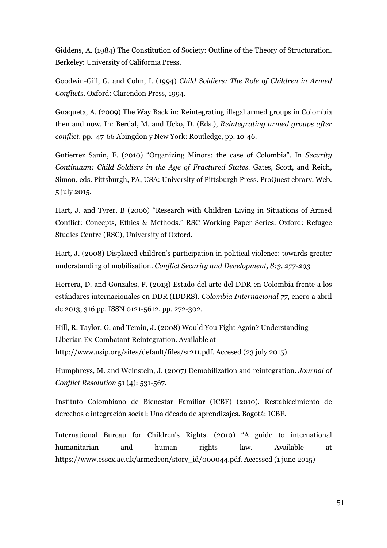Giddens, A. (1984) The Constitution of Society: Outline of the Theory of Structuration. Berkeley: University of California Press.

Goodwin-Gill, G. and Cohn, I. (1994) *Child Soldiers: The Role of Children in Armed Conflicts*. Oxford: Clarendon Press, 1994.

Guaqueta, A. (2009) The Way Back in: Reintegrating illegal armed groups in Colombia then and now. In: Berdal, M. and Ucko, D. (Eds.), *Reintegrating armed groups after conflict*. pp. 47-66 Abingdon y New York: Routledge, pp. 10-46.

Gutierrez Sanin, F. (2010) "Organizing Minors: the case of Colombia". In *Security Continuum: Child Soldiers in the Age of Fractured States*. Gates, Scott, and Reich, Simon, eds. Pittsburgh, PA, USA: University of Pittsburgh Press. ProQuest ebrary. Web. 5 july 2015.

Hart, J. and Tyrer, B (2006) "Research with Children Living in Situations of Armed Conflict: Concepts, Ethics & Methods." RSC Working Paper Series. Oxford: Refugee Studies Centre (RSC), University of Oxford.

Hart, J. (2008) Displaced children's participation in political violence: towards greater understanding of mobilisation. *Conflict Security and Development, 8:3, 277-293* 

Herrera, D. and Gonzales, P. (2013) Estado del arte del DDR en Colombia frente a los estándares internacionales en DDR (IDDRS). *Colombia Internacional 77*, enero a abril de 2013, 316 pp. ISSN 0121-5612, pp. 272-302.

Hill, R. Taylor, G. and Temin, J. (2008) Would You Fight Again? Understanding Liberian Ex-Combatant Reintegration. Available at http://www.usip.org/sites/default/files/sr211.pdf. Accesed (23 july 2015)

Humphreys, M. and Weinstein, J. (2007) Demobilization and reintegration. *Journal of Conflict Resolution* 51 (4): 531-567.

Instituto Colombiano de Bienestar Familiar (ICBF) (2010). Restablecimiento de derechos e integración social: Una década de aprendizajes. Bogotá: ICBF.

International Bureau for Children's Rights. (2010) "A guide to international humanitarian and human rights law. Available at https://www.essex.ac.uk/armedcon/story\_id/000044.pdf. Accessed (1 june 2015)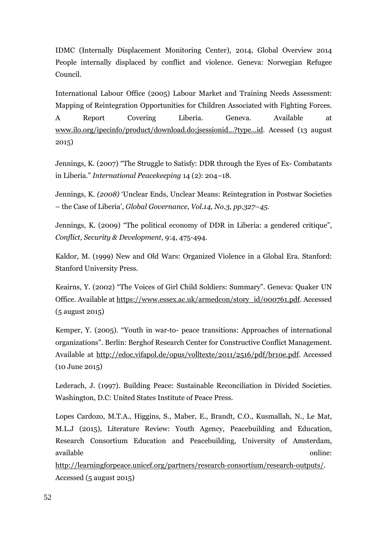IDMC (Internally Displacement Monitoring Center), 2014, Global Overview 2014 People internally displaced by conflict and violence. Geneva: Norwegian Refugee Council.

International Labour Office (2005) Labour Market and Training Needs Assessment: Mapping of Reintegration Opportunities for Children Associated with Fighting Forces. A Report Covering Liberia. Geneva. Available at www.ilo.org/ipecinfo/product/download.do;jsessionid...?type...id. Acessed (13 august 2015)

Jennings, K. (2007) "The Struggle to Satisfy: DDR through the Eyes of Ex- Combatants in Liberia." *International Peacekeeping* 14 (2): 204–18.

Jennings, K. *(2008)* 'Unclear Ends, Unclear Means: Reintegration in Postwar Societies – the Case of Liberia'*, Global Governance, Vol.14, No.3, pp.327–45.* 

Jennings, K. (2009) "The political economy of DDR in Liberia: a gendered critique", *Conflict, Security & Development*, 9:4, 475-494.

Kaldor, M. (1999) New and Old Wars: Organized Violence in a Global Era. Stanford: Stanford University Press.

Keairns, Y. (2002) "The Voices of Girl Child Soldiers: Summary". Geneva: Quaker UN Office. Available at https://www.essex.ac.uk/armedcon/story\_id/000761.pdf. Accessed (5 august 2015)

Kemper, Y. (2005). "Youth in war-to- peace transitions: Approaches of international organizations"*.* Berlin: Berghof Research Center for Constructive Conflict Management. Available at http://edoc.vifapol.de/opus/volltexte/2011/2516/pdf/br10e.pdf. Accessed (10 June 2015)

Lederach, J. (1997). Building Peace: Sustainable Reconciliation in Divided Societies. Washington, D.C: United States Institute of Peace Press.

Lopes Cardozo, M.T.A., Higgins, S., Maber, E., Brandt, C.O., Kusmallah, N., Le Mat, M.L.J (2015), Literature Review: Youth Agency, Peacebuilding and Education, Research Consortium Education and Peacebuilding, University of Amsterdam, available online:

http://learningforpeace.unicef.org/partners/research-consortium/research-outputs/. Accessed (5 august 2015)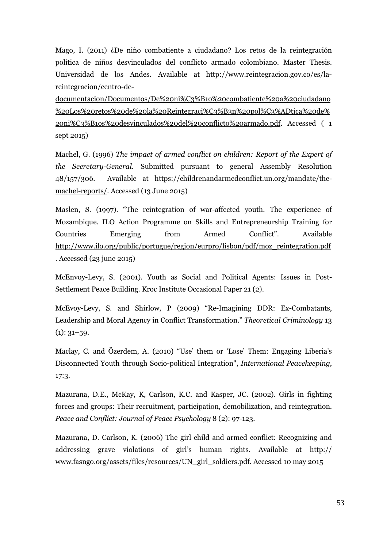Mago, I. (2011) ¿De niño combatiente a ciudadano? Los retos de la reintegración política de niños desvinculados del conflicto armado colombiano. Master Thesis. Universidad de los Andes. Available at http://www.reintegracion.gov.co/es/lareintegracion/centro-de-

documentacion/Documentos/De%20ni%C3%B1o%20combatiente%20a%20ciudadano %20Los%20retos%20de%20la%20Reintegraci%C3%B3n%20pol%C3%ADtica%20de% 20ni%C3%B1os%20desvinculados%20del%20conflicto%20armado.pdf. Accessed ( 1 sept 2015)

Machel, G. (1996) *The impact of armed conflict on children: Report of the Expert of the Secretary-General*. Submitted pursuant to general Assembly Resolution 48/157/306. Available at https://childrenandarmedconflict.un.org/mandate/themachel-reports/. Accessed (13 June 2015)

Maslen, S. (1997). "The reintegration of war-affected youth. The experience of Mozambique. ILO Action Programme on Skills and Entrepreneurship Training for Countries Emerging from Armed Conflict". Available http://www.ilo.org/public/portugue/region/eurpro/lisbon/pdf/moz\_reintegration.pdf . Accessed (23 june 2015)

McEnvoy-Levy, S. (2001). Youth as Social and Political Agents: Issues in Post-Settlement Peace Building. Kroc Institute Occasional Paper 21 (2).

McEvoy-Levy, S. and Shirlow, P (2009) "Re-Imagining DDR: Ex-Combatants, Leadership and Moral Agency in Conflict Transformation." *Theoretical Criminology* 13  $(1): 31-59.$ 

Maclay, C. and Özerdem, A. (2010) "Use' them or 'Lose' Them: Engaging Liberia's Disconnected Youth through Socio-political Integration", *International Peacekeeping*, 17:3.

Mazurana, D.E., McKay, K, Carlson, K.C. and Kasper, JC. (2002). Girls in fighting forces and groups: Their recruitment, participation, demobilization, and reintegration. *Peace and Conflict: Journal of Peace Psychology* 8 (2): 97-123.

Mazurana, D. Carlson, K. (2006) The girl child and armed conflict: Recognizing and addressing grave violations of girl's human rights. Available at http:// www.fasngo.org/assets/files/resources/UN\_girl\_soldiers.pdf. Accessed 10 may 2015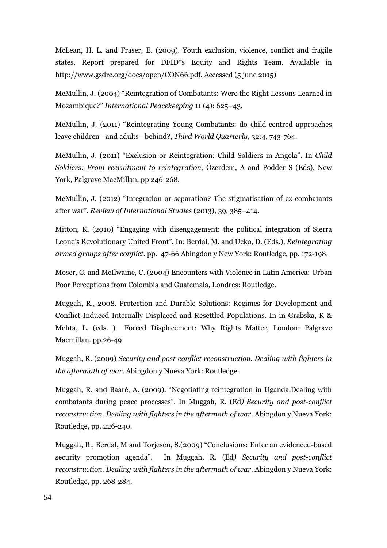McLean, H. L. and Fraser, E. (2009). Youth exclusion, violence, conflict and fragile states. Report prepared for DFID"s Equity and Rights Team. Available in http://www.gsdrc.org/docs/open/CON66.pdf. Accessed (5 june 2015)

McMullin, J. (2004) "Reintegration of Combatants: Were the Right Lessons Learned in Mozambique?" *International Peacekeeping* 11 (4): 625–43.

McMullin, J. (2011) "Reintegrating Young Combatants: do child-centred approaches leave children—and adults—behind?, *Third World Quarterly*, 32:4, 743-764.

McMullin, J. (2011) "Exclusion or Reintegration: Child Soldiers in Angola". In *Child Soldiers: From recruitment to reintegration,* Özerdem, A and Podder S (Eds), New York, Palgrave MacMillan, pp 246-268.

McMullin, J. (2012) "Integration or separation? The stigmatisation of ex-combatants after war". *Review of International Studies* (2013), 39, 385–414.

Mitton, K. (2010) "Engaging with disengagement: the political integration of Sierra Leone's Revolutionary United Front". In: Berdal, M. and Ucko, D. (Eds.), *Reintegrating armed groups after conflict*. pp. 47-66 Abingdon y New York: Routledge, pp. 172-198.

Moser, C. and McIlwaine, C. (2004) Encounters with Violence in Latin America: Urban Poor Perceptions from Colombia and Guatemala, Londres: Routledge.

Muggah, R., 2008. Protection and Durable Solutions: Regimes for Development and Conflict-Induced Internally Displaced and Resettled Populations. In in Grabska, Κ & Mehta, L. (eds. ) Forced Displacement: Why Rights Matter, London: Palgrave Macmillan. pp.26-49

Muggah, R. (2009) *Security and post-conflict reconstruction. Dealing with fighters in the aftermath of war.* Abingdon y Nueva York: Routledge.

Muggah, R. and Baaré, A. (2009). "Negotiating reintegration in Uganda.Dealing with combatants during peace processes". In Muggah, R. (Ed*) Security and post-conflict reconstruction. Dealing with fighters in the aftermath of war*. Abingdon y Nueva York: Routledge, pp. 226-240.

Muggah, R., Berdal, M and Torjesen, S.(2009) "Conclusions: Enter an evidenced-based security promotion agenda". In Muggah, R. (Ed*) Security and post-conflict reconstruction. Dealing with fighters in the aftermath of war*. Abingdon y Nueva York: Routledge, pp. 268-284.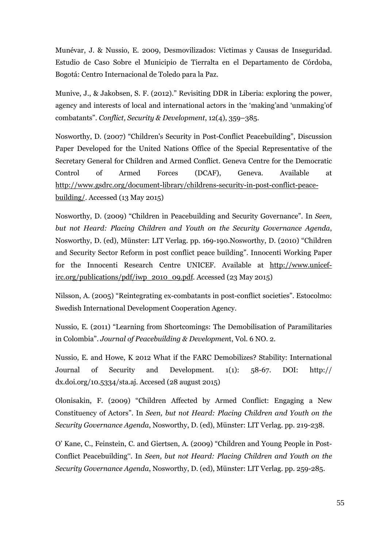Munévar, J. & Nussio, E. 2009, Desmovilizados: Víctimas y Causas de Inseguridad. Estudio de Caso Sobre el Municipio de Tierralta en el Departamento de Córdoba, Bogotá: Centro Internacional de Toledo para la Paz.

Munive, J., & Jakobsen, S. F. (2012)." Revisiting DDR in Liberia: exploring the power, agency and interests of local and international actors in the 'making'and 'unmaking'of combatants". *Conflict, Security & Development*, 12(4), 359–385.

Nosworthy, D. (2007) "Children's Security in Post-Conflict Peacebuilding", Discussion Paper Developed for the United Nations Office of the Special Representative of the Secretary General for Children and Armed Conflict. Geneva Centre for the Democratic Control of Armed Forces (DCAF), Geneva. Available at http://www.gsdrc.org/document-library/childrens-security-in-post-conflict-peacebuilding/. Accessed (13 May 2015)

Nosworthy, D. (2009) "Children in Peacebuilding and Security Governance". In *Seen, but not Heard: Placing Children and Youth on the Security Governance Agenda*, Nosworthy, D. (ed), Münster: LIT Verlag. pp. 169-190.Nosworthy, D. (2010) "Children and Security Sector Reform in post conflict peace building". Innocenti Working Paper for the Innocenti Research Centre UNICEF. Available at http://www.unicefirc.org/publications/pdf/iwp\_2010\_09.pdf. Accessed (23 May 2015)

Nilsson, A. (2005) "Reintegrating ex-combatants in post-conflict societies". Estocolmo: Swedish International Development Cooperation Agency.

Nussio, E. (2011) "Learning from Shortcomings: The Demobilisation of Paramilitaries in Colombia". *Journal of Peacebuilding & Developmen*t, Vol. 6 NO. 2.

Nussio, E. and Howe, K 2012 What if the FARC Demobilizes? Stability: International Journal of Security and Development. 1(1): 58-67. DOI: http:// dx.doi.org/10.5334/sta.aj. Accesed (28 august 2015)

Olonisakin, F. (2009) "Children Affected by Armed Conflict: Engaging a New Constituency of Actors". In *Seen, but not Heard: Placing Children and Youth on the Security Governance Agenda*, Nosworthy, D. (ed), Münster: LIT Verlag. pp. 219-238.

O' Kane, C., Feinstein, C. and Giertsen, A. (2009) "Children and Young People in Post-Conflict Peacebuilding". In *Seen, but not Heard: Placing Children and Youth on the Security Governance Agenda*, Nosworthy, D. (ed), Münster: LIT Verlag. pp. 259-285.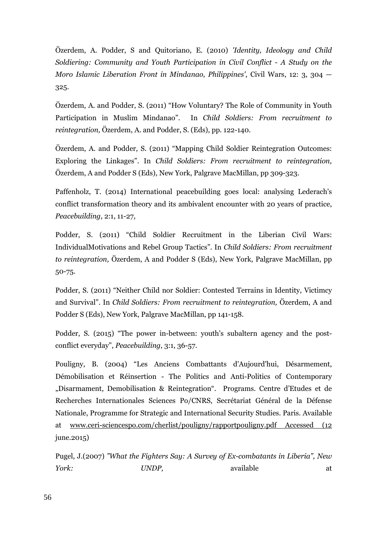Özerdem, A. Podder, S and Quitoriano, E. (2010) *'Identity, Ideology and Child Soldiering: Community and Youth Participation in Civil Conflict - A Study on the Moro Islamic Liberation Front in Mindanao, Philippines'*, Civil Wars, 12: 3, 304 — 325.

Özerdem, A. and Podder, S. (2011) "How Voluntary? The Role of Community in Youth Participation in Muslim Mindanao". In *Child Soldiers: From recruitment to reintegration,* Özerdem, A. and Podder, S. (Eds), pp. 122-140.

Özerdem, A. and Podder, S. (2011) "Mapping Child Soldier Reintegration Outcomes: Exploring the Linkages". In *Child Soldiers: From recruitment to reintegration,*  Özerdem, A and Podder S (Eds), New York, Palgrave MacMillan, pp 309-323.

Paffenholz, T. (2014) International peacebuilding goes local: analysing Lederach's conflict transformation theory and its ambivalent encounter with 20 years of practice, *Peacebuilding*, 2:1, 11-27,

Podder, S. (2011) "Child Soldier Recruitment in the Liberian Civil Wars: IndividualMotivations and Rebel Group Tactics". In *Child Soldiers: From recruitment to reintegration,* Özerdem, A and Podder S (Eds), New York, Palgrave MacMillan, pp 50-75.

Podder, S. (2011) "Neither Child nor Soldier: Contested Terrains in Identity, Victimcy and Survival". In *Child Soldiers: From recruitment to reintegration,* Özerdem, A and Podder S (Eds), New York, Palgrave MacMillan, pp 141-158.

Podder, S. (2015) "The power in-between: youth's subaltern agency and the postconflict everyday", *Peacebuilding*, 3:1, 36-57.

Pouligny, B. (2004) "Les Anciens Combattants d'Aujourd'hui, Désarmement, Démobilisation et Réinsertion - The Politics and Anti-Politics of Contemporary "Disarmament, Demobilisation & Reintegration". Programs. Centre d'Etudes et de Recherches Internationales Sciences Po/CNRS, Secrétariat Général de la Défense Nationale, Programme for Strategic and International Security Studies. Paris. Available at www.ceri-sciencespo.com/cherlist/pouligny/rapportpouligny.pdf Accessed (12 june.2015)

Pugel, J.(2007) *"What the Fighters Say: A Survey of Ex-combatants in Liberia", New York:* UNDP, available at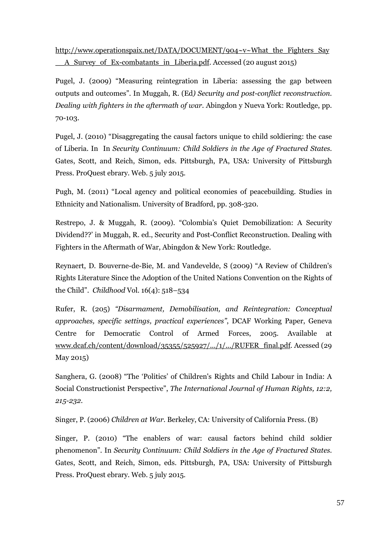http://www.operationspaix.net/DATA/DOCUMENT/904~v~What\_the\_Fighters\_Say A Survey of Ex-combatants in Liberia.pdf. Accessed (20 august 2015)

Pugel, J. (2009) "Measuring reintegration in Liberia: assessing the gap between outputs and outcomes". In Muggah, R. (Ed*) Security and post-conflict reconstruction. Dealing with fighters in the aftermath of war*. Abingdon y Nueva York: Routledge, pp. 70-103.

Pugel, J. (2010) "Disaggregating the causal factors unique to child soldiering: the case of Liberia. In In *Security Continuum: Child Soldiers in the Age of Fractured States*. Gates, Scott, and Reich, Simon, eds. Pittsburgh, PA, USA: University of Pittsburgh Press. ProQuest ebrary. Web. 5 july 2015.

Pugh, M. (2011) "Local agency and political economies of peacebuilding. Studies in Ethnicity and Nationalism. University of Bradford, pp. 308-320.

Restrepo, J. & Muggah, R. (2009). "Colombia's Quiet Demobilization: A Security Dividend??' in Muggah, R. ed., Security and Post-Conflict Reconstruction. Dealing with Fighters in the Aftermath of War, Abingdon & New York: Routledge.

Reynaert, D. Bouverne-de-Bie, M. and Vandevelde, S (2009) "A Review of Children's Rights Literature Since the Adoption of the United Nations Convention on the Rights of the Child". *Childhood* Vol. 16(4): 518–534

Rufer, R. (205) *"Disarmament, Demobilisation, and Reintegration: Conceptual approaches, specific settings, practical experiences"*, DCAF Working Paper, Geneva Centre for Democratic Control of Armed Forces, 2005. Available at www.dcaf.ch/content/download/35355/525927/.../1/.../RUFER\_final.pdf. Acessed (29 May 2015)

Sanghera, G. (2008) "The 'Politics' of Children's Rights and Child Labour in India: A Social Constructionist Perspective", *The International Journal of Human Rights, 12:2, 215-232.* 

Singer, P. (2006) *Children at War.* Berkeley, CA: University of California Press. (B)

Singer, P. (2010) "The enablers of war: causal factors behind child soldier phenomenon". In *Security Continuum: Child Soldiers in the Age of Fractured States*. Gates, Scott, and Reich, Simon, eds. Pittsburgh, PA, USA: University of Pittsburgh Press. ProQuest ebrary. Web. 5 july 2015.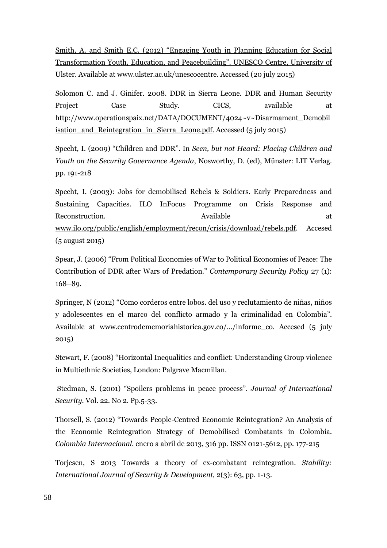Smith, A. and Smith E.C. (2012) "Engaging Youth in Planning Education for Social Transformation Youth, Education, and Peacebuilding". UNESCO Centre, University of Ulster. Available at www.ulster.ac.uk/unescocentre. Accessed (20 july 2015)

Solomon C. and J. Ginifer. 2008. DDR in Sierra Leone. DDR and Human Security Project Case Study. CICS, available at http://www.operationspaix.net/DATA/DOCUMENT/4024~v~Disarmament\_Demobil isation and Reintegration in Sierra Leone.pdf. Accessed (5 july 2015)

Specht, I. (2009) "Children and DDR". In *Seen, but not Heard: Placing Children and Youth on the Security Governance Agenda*, Nosworthy, D. (ed), Münster: LIT Verlag. pp. 191-218

Specht, I. (2003): Jobs for demobilised Rebels & Soldiers. Early Preparedness and Sustaining Capacities. ILO InFocus Programme on Crisis Response and Reconstruction. Available at the second at the second at the second at the second at the second at the second at  $\alpha$ www.ilo.org/public/english/employment/recon/crisis/download/rebels.pdf. Accesed (5 august 2015)

Spear, J. (2006) "From Political Economies of War to Political Economies of Peace: The Contribution of DDR after Wars of Predation." *Contemporary Security Policy* 27 (1): 168–89.

Springer, N (2012) "Como corderos entre lobos. del uso y reclutamiento de niñas, niños y adolescentes en el marco del conflicto armado y la criminalidad en Colombia". Available at www.centrodememoriahistorica.gov.co/.../informe\_co. Accesed (5 july 2015)

Stewart, F. (2008) "Horizontal Inequalities and conflict: Understanding Group violence in Multiethnic Societies, London: Palgrave Macmillan.

 Stedman, S. (2001) "Spoilers problems in peace process". *Journal of International Security.* Vol. 22. No 2. Pp.5-33.

Thorsell, S. (2012) "Towards People-Centred Economic Reintegration? An Analysis of the Economic Reintegration Strategy of Demobilised Combatants in Colombia. *Colombia Internacional.* enero a abril de 2013, 316 pp. ISSN 0121-5612, pp. 177-215

Torjesen, S 2013 Towards a theory of ex-combatant reintegration. *Stability: International Journal of Security & Development,* 2(3): 63, pp. 1-13.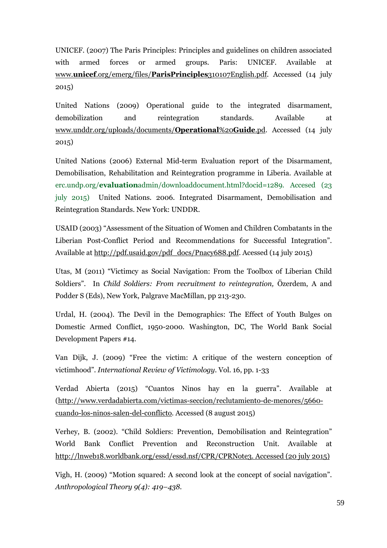UNICEF. (2007) The Paris Principles: Principles and guidelines on children associated with armed forces or armed groups. Paris: UNICEF. Available at www.**unicef**.org/emerg/files/**ParisPrinciples**310107English.pdf. Accessed (14 july 2015)

United Nations (2009) Operational guide to the integrated disarmament, demobilization and reintegration standards. Available at www.unddr.org/uploads/documents/**Operational**%20**Guide**.pd. Accessed (14 july 2015)

United Nations (2006) External Mid-term Evaluation report of the Disarmament, Demobilisation, Rehabilitation and Reintegration programme in Liberia. Available at erc.undp.org/**evaluation**admin/downloaddocument.html?docid=1289. Accesed (23 july 2015) United Nations. 2006. Integrated Disarmament, Demobilisation and Reintegration Standards. New York: UNDDR.

USAID (2003) "Assessment of the Situation of Women and Children Combatants in the Liberian Post-Conflict Period and Recommendations for Successful Integration". Available at http://pdf.usaid.gov/pdf\_docs/Pnacy688.pdf. Acessed (14 july 2015)

Utas, M (2011) "Victimcy as Social Navigation: From the Toolbox of Liberian Child Soldiers". In *Child Soldiers: From recruitment to reintegration,* Özerdem, A and Podder S (Eds), New York, Palgrave MacMillan, pp 213-230.

Urdal, H. (2004). The Devil in the Demographics: The Effect of Youth Bulges on Domestic Armed Conflict, 1950-2000. Washington, DC, The World Bank Social Development Papers #14.

Van Dijk, J. (2009) "Free the victim: A critique of the western conception of victimhood". *International Review of Victimology*. Vol. 16, pp. 1-33

Verdad Abierta (2015) "Cuantos Ninos hay en la guerra". Available at (http://www.verdadabierta.com/victimas-seccion/reclutamiento-de-menores/5660 cuando-los-ninos-salen-del-conflicto. Accessed (8 august 2015)

Verhey, B. (2002). "Child Soldiers: Prevention, Demobilisation and Reintegration" World Bank Conflict Prevention and Reconstruction Unit. Available at http://lnweb18.worldbank.org/essd/essd.nsf/CPR/CPRNote3. Accessed (20 july 2015)

Vigh, H. (2009) "Motion squared: A second look at the concept of social navigation". *Anthropological Theory 9(4): 419–438.*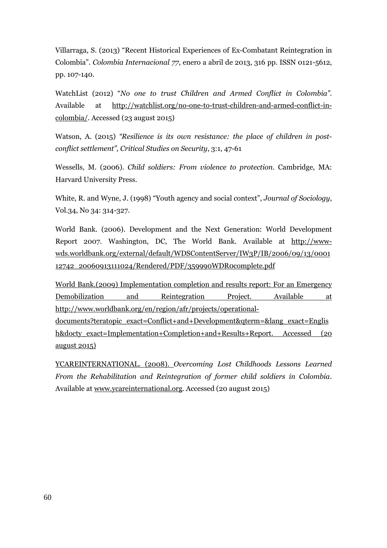Villarraga, S. (2013) "Recent Historical Experiences of Ex-Combatant Reintegration in Colombia". *Colombia Internacional 77*, enero a abril de 2013, 316 pp. ISSN 0121-5612, pp. 107-140.

WatchList (2012) "*No one to trust Children and Armed Conflict in Colombia"*. Available at http://watchlist.org/no-one-to-trust-children-and-armed-conflict-incolombia/. Accessed (23 august 2015)

Watson, A. (2015) *"Resilience is its own resistance: the place of children in postconflict settlement", Critical Studies on Security*, 3:1, 47-61

Wessells, M. (2006). *Child soldiers: From violence to protection*. Cambridge, MA: Harvard University Press.

White, R. and Wyne, J. (1998) "Youth agency and social context", *Journal of Sociology*, Vol.34, No 34: 314-327.

World Bank. (2006). Development and the Next Generation: World Development Report 2007. Washington, DC, The World Bank. Available at http://wwwwds.worldbank.org/external/default/WDSContentServer/IW3P/IB/2006/09/13/0001 12742\_20060913111024/Rendered/PDF/359990WDR0complete.pdf

World Bank.(2009) Implementation completion and results report: For an Emergency Demobilization and Reintegration Project. Available at http://www.worldbank.org/en/region/afr/projects/operational-

documents?teratopic\_exact=Conflict+and+Development&qterm=&lang\_exact=Englis h&docty\_exact=Implementation+Completion+and+Results+Report. Accessed (20 august 2015)

YCAREINTERNATIONAL. (2008). *Overcoming Lost Childhoods Lessons Learned From the Rehabilitation and Reintegration of former child soldiers in Colombia*. Available at www.ycareinternational.org. Accessed (20 august 2015)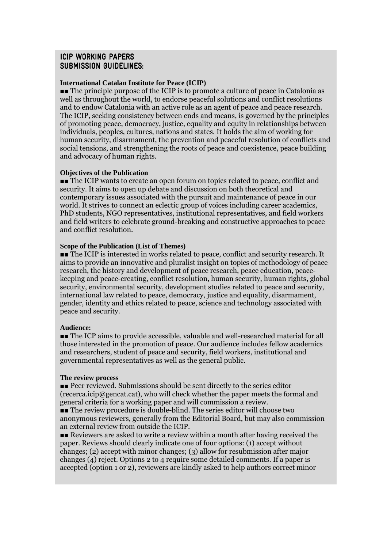#### **ICIP WORKING PAPERS SUBMISSION GUIDELINES:**

#### **International Catalan Institute for Peace (ICIP)**

■■ The principle purpose of the ICIP is to promote a culture of peace in Catalonia as well as throughout the world, to endorse peaceful solutions and conflict resolutions and to endow Catalonia with an active role as an agent of peace and peace research. The ICIP, seeking consistency between ends and means, is governed by the principles of promoting peace, democracy, justice, equality and equity in relationships between individuals, peoples, cultures, nations and states. It holds the aim of working for human security, disarmament, the prevention and peaceful resolution of conflicts and social tensions, and strengthening the roots of peace and coexistence, peace building and advocacy of human rights.

#### **Objectives of the Publication**

■■ The ICIP wants to create an open forum on topics related to peace, conflict and security. It aims to open up debate and discussion on both theoretical and contemporary issues associated with the pursuit and maintenance of peace in our world. It strives to connect an eclectic group of voices including career academics, PhD students, NGO representatives, institutional representatives, and field workers and field writers to celebrate ground-breaking and constructive approaches to peace and conflict resolution.

#### **Scope of the Publication (List of Themes)**

■■ The ICIP is interested in works related to peace, conflict and security research. It aims to provide an innovative and pluralist insight on topics of methodology of peace research, the history and development of peace research, peace education, peacekeeping and peace-creating, conflict resolution, human security, human rights, global security, environmental security, development studies related to peace and security, international law related to peace, democracy, justice and equality, disarmament, gender, identity and ethics related to peace, science and technology associated with peace and security.

#### **Audience:**

■■ The ICP aims to provide accessible, valuable and well-researched material for all those interested in the promotion of peace. Our audience includes fellow academics and researchers, student of peace and security, field workers, institutional and governmental representatives as well as the general public.

#### **The review process**

■■ Peer reviewed. Submissions should be sent directly to the series editor (recerca.icip@gencat.cat), who will check whether the paper meets the formal and general criteria for a working paper and will commission a review.

■■ The review procedure is double-blind. The series editor will choose two anonymous reviewers, generally from the Editorial Board, but may also commission an external review from outside the ICIP.

■■ Reviewers are asked to write a review within a month after having received the paper. Reviews should clearly indicate one of four options: (1) accept without changes; (2) accept with minor changes; (3) allow for resubmission after major changes (4) reject. Options 2 to 4 require some detailed comments. If a paper is accepted (option 1 or 2), reviewers are kindly asked to help authors correct minor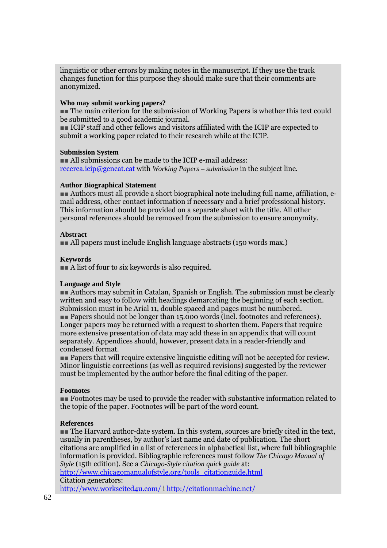linguistic or other errors by making notes in the manuscript. If they use the track changes function for this purpose they should make sure that their comments are anonymized.

#### **Who may submit working papers?**

■■ The main criterion for the submission of Working Papers is whether this text could be submitted to a good academic journal.

■■ ICIP staff and other fellows and visitors affiliated with the ICIP are expected to submit a working paper related to their research while at the ICIP.

#### **Submission System**

■■ All submissions can be made to the ICIP e-mail address: recerca.icip@gencat.cat with *Working Papers – submission* in the subject line.

#### **Author Biographical Statement**

 $\blacksquare$  Authors must all provide a short biographical note including full name, affiliation, email address, other contact information if necessary and a brief professional history. This information should be provided on a separate sheet with the title. All other personal references should be removed from the submission to ensure anonymity.

#### **Abstract**

■■ All papers must include English language abstracts (150 words max.)

#### **Keywords**

■■ A list of four to six keywords is also required.

#### **Language and Style**

■■ Authors may submit in Catalan, Spanish or English. The submission must be clearly written and easy to follow with headings demarcating the beginning of each section. Submission must in be Arial 11, double spaced and pages must be numbered.

■■ Papers should not be longer than 15.000 words (incl. footnotes and references). Longer papers may be returned with a request to shorten them. Papers that require more extensive presentation of data may add these in an appendix that will count separately. Appendices should, however, present data in a reader-friendly and condensed format.

■■ Papers that will require extensive linguistic editing will not be accepted for review. Minor linguistic corrections (as well as required revisions) suggested by the reviewer must be implemented by the author before the final editing of the paper.

#### **Footnotes**

■■ Footnotes may be used to provide the reader with substantive information related to the topic of the paper. Footnotes will be part of the word count.

#### **References**

■■ The Harvard author-date system. In this system, sources are briefly cited in the text, usually in parentheses, by author's last name and date of publication. The short citations are amplified in a list of references in alphabetical list, where full bibliographic information is provided. Bibliographic references must follow *The Chicago Manual of Style* (15th edition). See a *Chicago-Style citation quick guide* at: http://www.chicagomanualofstyle.org/tools\_citationguide.html Citation generators: http://www.workscited4u.com/ i http://citationmachine.net/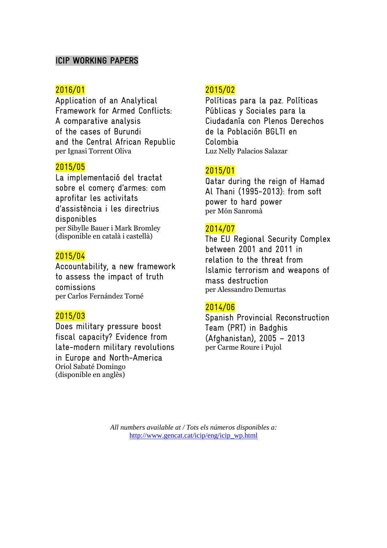#### **ICIP WORKING PAPERS**

#### 2016/01

Application of an Analytical Framework for Armed Conflicts: A comparative analysis of the cases of Burundi and the Central African Republic per Ignasi Torrent Oliva

#### 2015/05

La implementació del tractat sobre el comerç d'armes: com aprofitar les activitats d'assistència i les directrius disponibles per Sibylle Bauer i Mark Bromley (disponible en català i castellà)

#### 2015/04

Accountability, a new framework to assess the impact of truth comissions per Carlos Fernández Torné

#### 2015/03

Does military pressure boost fiscal capacity? Evidence from late-modern military revolutions in Europe and North-America Oriol Sabaté Domingo (disponible en anglès)

#### 2015/02

Políticas para la paz. Políticas Públicas y Sociales para la Ciudadanía con Plenos Derechos de la Población BGLTI en Colombia Luz Nelly Palacios Salazar

### 2015/01

Qatar during the reign of Hamad Al Thani (1995-2013): from soft power to hard power per Món Sanromà

#### 2014/07

The EU Regional Security Complex between 2001 and 2011 in relation to the threat from Islamic terrorism and weapons of mass destruction per Alessandro Demurtas

#### 2014/06

Spanish Provincial Reconstruction Team (PRT) in Badghis (Afghanistan), 2005 – 2013 per Carme Roure i Pujol

*All numbers available at / Tots els números disponibles a:* http://www.gencat.cat/icip/eng/icip\_wp.html